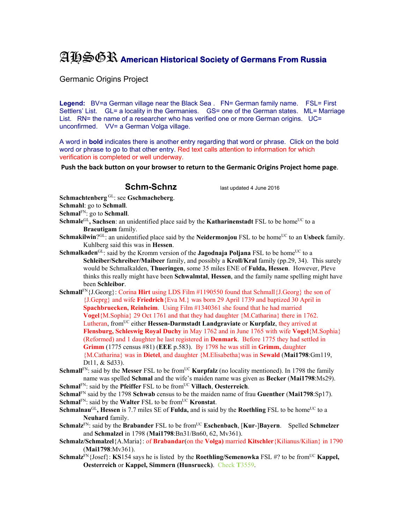## AHSGR **American Historical Society of Germans From Russia**

Germanic Origins Project

**Legend:** BV=a German village near the Black Sea . FN= German family name. FSL= First Settlers' List. GL= a locality in the Germanies. GS= one of the German states. ML= Marriage List. RN= the name of a researcher who has verified one or more German origins. UC= unconfirmed. VV= a German Volga village.

A word in **bold** indicates there is another entry regarding that word or phrase. Click on the bold word or phrase to go to that other entry. Red text calls attention to information for which verification is completed or well underway.

**Push the back button on your browser to return to the Germanic Origins Project home page**.

## **Schm-Schnz** last updated 4 June 2016

**Schmachtenberg** GL: see **Gschmacheberg**.

**Schmahl**: go to **Schmall**.

**Schmal**FN: go to **Schmall**.

- **Schmale**<sup>GL</sup>, Sachsen: an unidentified place said by the **Katharinenstadt** FSL to be home<sup>UC</sup> to a **Braeutigam** family.
- **Schmakilwin**?<sup>GL:</sup> an unidentified place said by the **Neidermonjou** FSL to be home<sup>UC</sup> to an **Usbeck** family. Kuhlberg said this was in **Hessen**.
- **Schmalkaden**<sup>GL</sup>: said by the Kromm version of the **Jagodnaja Poljana** FSL to be home<sup>UC</sup> to a **Schleiber/Schreiber/Maibeer** family, and possibly a **Kroll/Kral** family (pp.29, 34). This surely would be Schmalkalden, **Thueringen**, some 35 miles ENE of **Fulda, Hessen**. However, Pleve thinks this really might have been **Schwalmtal**, **Hessen**, and the family name spelling might have been **Schleibor**.

**Schmall**FN{J.Georg}: Corina **Hirt** using LDS Film #1190550 found that Schmall{J.Georg} the son of {J.Geprg} and wife **Friedrich**{Eva M.} was born 29 April 1739 and baptized 30 April in **Spachbruecken, Reinheim**. Using Film #1340361 she found that he had married **Vogel**{M.Sophia} 29 Oct 1761 and that they had daughter {M.Catharina} there in 1762. Lutheran, fromUC either **Hessen-Darmstadt Landgraviate** or **Kurpfalz**, they arrived at **Flensburg, Schleswig Royal Duchy** in May 1762 and in June 1765 with wife **Vogel**{M.Sophia} (Reformed) and 1 daughter he last registered in **Denmark**. Before 1775 they had settled in **Grimm** (1775 census #81) (**EEE** p.583). By 1798 he was still in **Grimm,** daughter {M.Catharina} was in **Dietel**, and daughter {M.Elisabetha}was in **Sewald** (**Mai1798**:Gm119, Dt11, & Sd33).

**Schmall**<sup>FN</sup>: said by the **Messer** FSL to be from<sup>UC</sup> **Kurpfalz** (no locality mentioned). In 1798 the family name was spelled **Schmal** and the wife's maiden name was given as **Becker** (**Mai1798**:Ms29).

**Schmal**<sup>FN</sup>: said by the **Pfeiffer** FSL to be from<sup>UC</sup> **Villach**, **Oesterreich**.

**Schmal**FN said by the 1798 **Schwab** census to be the maiden name of frau **Guenther** (**Mai1798**:Sp17). **Schmal**<sup>FN</sup>: said by the **Walter** FSL to be from<sup>UC</sup> **Kronstat**.

- **Schmalnau**<sup>GL</sup>, **Hessen** is 7.7 miles SE of **Fulda**, and is said by the **Roethling** FSL to be home<sup>UC</sup> to a **Neuhard** family.
- **Schmalz**FN: said by the **Brabander** FSL to be fromUC **Eschenbach**, [**Kur**-]**Bayern**. Spelled **Schmelzer** and **Schmalzel** in 1798 (**Mai1798**:Bn31/Bn60, 62, Mv361).
- **Schmalz/Schmalzel**{A.Maria}: of **Brabandar**(on the **Volga)** married **Kitschler**{Kilianus/Kilian} in 1790 (**Mai1798**:Mv361).
- **Schmalz**<sup>FN</sup>{Josef}: **KS**154 says he is listed by the **Roethling/Semenowka** FSL #? to be from<sup>UC</sup> **Kappel**, **Oesterreich** or **Kappel, Simmern (Hunsrueck)**. Check **T**3559.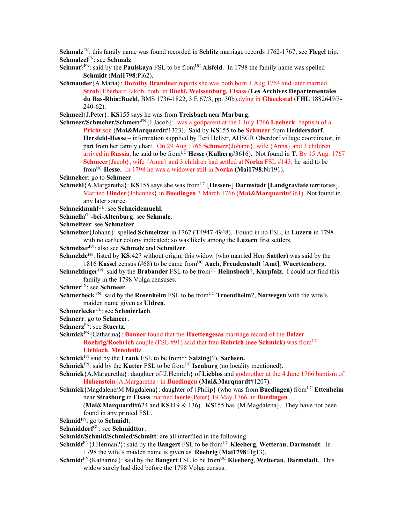**Schmalz**FN: this family name was found recorded in **Schlitz** marriage records 1762-1767; see **Flegel** trip. **Schmalzel**FN: see **Schmalz**.

**Schmat**?FN: said by the **Paulskaya** FSL to be from<sup>UC</sup> **Alsfeld**. In 1798 the family name was spelled **Schmidt** (**Mai1798**:Pl62).

**Schmauder**{A.Maria}: **Dorothy Brandner** reports she was both born 1 Aug 1764 and later married **Stroh**{Eberhard Jakob, both in **Buehl, Weissenburg, Elsass** (**Les Archives Departementales du Bas-Rhin:Buehl**, BMS 1736-1822, 3 E 67/3, pp. 30b),dying in **Glueckstal** (**FHL** 1882649/3- 240-62).

**Schmeel**{J.Peter}: **KS**155 says he was from **Treisbach** near **Marburg**.

**Schmeer/Schmeher/Schmerr**FN{J.Jacob}: was a godparent at the 1 July 1766 **Luebeck** baptism of a **Pricht** son (**Mai&Marquardt**#1323). Said by **KS**155 to be **Schmeer** from **Heddersdorf**, **Hersfeld-Hesse** – information supplied by Teri Helzer, AHSGR Oberdorf village coordinator, in part from her family chart. On 29 Aug 1766 **Schmerr**{Johann}, wife {Anna} and 3 children arrived in **Russia**, he said to be from<sup>UC</sup> Hesse (Kulberg#3616). Not found in **T**. By 15 Aug. 1767 **Schmeer**{Jacob}, wife {Anna} and 3 children had settled at **Norka** FSL #143, he said to be fromUC **Hesse**. In 1798 he was a widower still in **Norka (Mai1798**:Nr191).

**Schmeher**: go to **Schmeer**.

**Schmehl**{A.Margaretha}: **KS**155 says she was from<sup>UC</sup> [**Hessen-**] **Darmstadt** [Landgraviate territories]. Married **Hinder**{Johannes} in **Buedingen** 3 March 1766 (**Mai&Marquardt**#361). Not found in any later source.

**Schmeidmuhl**GL: see **Schneidemuehl**.

**Schmella**GL**-bei-Altenburg**: see **Schmale**.

**Schmeltzer**: see **Schmelzer**.

- **Schmelzer**{Johann}: spelled **Schmeltzer** in 1767 (**T**4947-4948). Found in no FSL; in **Luzern** in 1798 with no earlier colony indicated; so was likely among the **Luzern** first settlers.
- **Schmelzer**FN: also see **Schmalz** and **Schmilzer**.

**Schmelzle**FN: listed by **KS**:427 without origin, this widow (who married Herr **Sattler**) was said by the 1816 **Kassel** census (#68) to be came fromUC **Aach**, **Freudenstadt** [**Amt**], **Wuerttemberg**.

- **Schmelzinger**<sup>FN</sup>: said by the **Brabander** FSL to be from<sup>UC</sup> **Helmsbach**?, **Kurpfalz**. I could not find this family in the 1798 Volga censuses.
- **Schmer**FN: see **Schmeer**.
- **Schmerbeck** FN: said by the **Rosenheim** FSL to be from<sup>UC</sup> **Troendheim**?, **Norwegen** with the wife's maiden name given as **Uldren**.

**Schmerlecke**GL: see **Schmierlach**.

**Schmerr**: go to **Schmeer**.

**Schmerz**FN: see **Stuertz**.

**Schmick**FN{Catharina}: **Bonner** found that the **Huettengesas** marriage record of the **Balzer Roehrig/Roehrich** couple (FSL #91) said that frau **Rohrich** (nee **Schmick**) was from<sup>UC</sup> **Liebloch**, **Menoholtz**.

**Schmick**<sup>FN</sup> said by the **Frank** FSL to be from<sup>UC</sup> **Salzing**(?), **Sachsen.** 

**Schmick**<sup>FN</sup>: said by the **Kutter** FSL to be from<sup>UC</sup> **Isenburg** (no locality mentioned).

- **Schmick**{A.Margaretha}: daughter of{J.Henrich} of **Lieblos** and godmother at the 4 June 1766 baptism of **Hohenstein**{A.Margaretha} in **Buedingen** (**Mai&Marquardt**#1207).
- **Schmick**{Magdalene/M.Magdalena}: daughter of {Philip} (who was from **Buedingen)** from<sup>UC</sup> **Ettenheim** near **Strasburg** in **Elsass** married **Iserle**{Peter} 19 May 1766 in **Buedingen**

(**Mai&Marquardt**#624 and **KS**119 & 136). **KS**155 has {M.Magdalena}. They have not been found in any printed FSL.

**Schmid**FN: go to **Schmidt**.

**Schmiddorf**GL: see **Schmidttor**.

**Schmidt/Schmid/Schmied/Schmitt**: are all interfiled in the following:

- **Schmidt**FN{J.Herman?}: said by the **Bangert** FSL to be fromUC **Kleeberg**, **Wetterau**, **Darmstadt**. In 1798 the wife's maiden name is given as **Roehrig** (**Mai1798**:Bg13).
- **Schmidt**FN{Katharina}: said by the **Bangert** FSL to be fromUC **Kleeberg**, **Wetterau**, **Darmstadt**. This widow surely had died before the 1798 Volga census.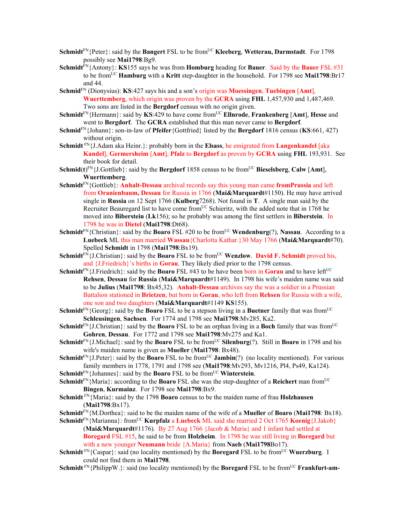- **Schmidt**<sup>FN</sup>{Peter}: said by the **Bangert** FSL to be from<sup>UC</sup> **Kleeberg**, **Wetterau, Darmstadt**. For 1798 possibly see **Mai1798**:Bg9.
- **Schmidt**FN{Antony}: **KS**155 says he was from **Homburg** heading for **Bauer**. Said by the **Bauer** FSL #31 to be fromUC **Hamburg** with a **Kritt** step-daughter in the household. For 1798 see **Mai1798**:Br17 and 44.
- **Schmid**FN (Dionysius): **KS**:427 says his and a son's origin was **Moessingen**, **Tuebingen** [**Amt**], **Wuerttemberg**, which origin was proven by the **GCRA** using **FHL** 1,457,930 and 1,487,469. Two sons are listed in the **Bergdorf** census with no origin given.
- **Schmidt**<sup>FN</sup>{Hermann}: said by **KS**:429 to have come from<sup>UC</sup> **Ellnrode**, **Frankenberg** [Amt], **Hesse** and went to **Bergdorf**. The **GCRA** established that this man never came to **Bergdorf**.
- **Schmid**FN{Johann}: son-in-law of **Pfeifer**{Gottfried} listed by the **Bergdorf** 1816 census (**KS**:661, 427) without origin.
- **Schmidt** FN{J.Adam aka Heinr.}: probably born in the **Elsass**, he emigrated from **Langenkandel** [aka **Kandel**], **Germersheim** [**Amt**], **Pfalz** to **Bergdorf** as proven by **GCRA** using **FHL** 193,931. See their book for detail.
- **Schmid**( $t$ )<sup>EN</sup>{J.Gottlieb}: said by the **Bergdorf** 1858 census to be from<sup>UC</sup> **Bieselsberg**, **Calw** [Amt], **Wuerttemberg**.
- **Schmidt**FN{Gottlieb}: **Anhalt-Dessau** archival records say this young man came **fromPrussia** and left from **Oranienbaum, Dessau** for Russia in 1766 (**Mai&Marquardt**#1150). He may have arrived single in **Russia** on 12 Sept 1766 (**Kulberg**7268). Not found in **T**. A single man said by the Recruiter Beauregard list to have come from<sup>UC</sup> Schieritz, with the added note that in 1768 he moved into **Biberstein** (**Lk**156); so he probably was among the first settlers in **Biberstein**. In 1798 he was in **Dietel** (**Mai1798**:Dt68).
- **Schmidt**<sup>FN</sup>{Christian}: said by the **Boaro** FSL #20 to be from<sup>UC</sup> **Wendenburg**(?), **Nassau**. According to a **Luebeck** ML this man married **Wassau**{Charlotta Kathar.}30 May 1766 (**Mai&Marquardt**#70). Spelled **Schmidt** in 1798 (**Mai1798**:Bx19).
- **Schmidt**<sup>FN</sup>{J.Christian}: said by the **Boaro** FSL to be from<sup>UC</sup> **Wenzlow. David F. Schmidt** proved his, and {J.Friedrich}'s births in **Gorau**. They likely died prior to the 1798 census.
- **Schmidt**<sup>FN</sup>{J.Friedrich}: said by the **Boaro** FSL #43 to be have been born in **Gorau** and to have left<sup>UC</sup> **Rehsen**, **Dessau** for **Russia** (**Mai&Marquardt**#1149). In 1798 his wife's maiden name was said to be **Julius** (**Mai1798**: Bx45,32). **Anhalt-Dessau** archives say the was a soldier in a Prussian Battalion stationed in **Brietzen**, but born in **Gorau**, who left from **Rehsen** for Russia with a wife, one son and two daughters (**Mai&Marquardt**#1149 **KS**155).
- **Schmidt**<sup>FN</sup>{Georg}: said by the **Boaro** FSL to be a stepson living in a **Buetner** family that was from<sup>UC</sup> **Schleusingen**, **Sachsen**. For 1774 and 1798 see **Mai1798**:Mv285, Ka2.
- **Schmidt**<sup>FN</sup>{J.Christian}: said by the **Boaro** FSL to be an orphan living in a **Boch** family that was from<sup>UC</sup> **Gohren**, **Dessau**. For 1772 and 1798 see **Mai1798**:Mv275 and Ka1.
- **Schmidt**<sup>FN</sup>{J.Michael}: said by the **Boaro** FSL to be from<sup>UC</sup> **Silenburg**(?). Still in **Boaro** in 1798 and his wife's maiden name is given as **Mueller** (**Mai1798**: Bx48).
- **Schmidt**<sup>FN</sup>{J.Peter}: said by the **Boaro** FSL to be from<sup>UC</sup> **Jambin**(?) (no locality mentioned). For various family members in 1778, 1791 and 1798 see (**Mai1798**:Mv293, Mv1216, Pl4, Ps49, Ka124).
- **Schmidt**<sup>FN</sup>{Johannes}: said by the **Boaro** FSL to be from<sup>UC</sup> **Winterstein**.
- **Schmidt**<sup>FN</sup>{Maria}: according to the **Boaro** FSL she was the step-daughter of a **Reichert** man from<sup>UC</sup> **Bingen**, **Kurmainz**. For 1798 see **Mai1798**:Bx9.
- **Schmidt** FN{Maria}: said by the 1798 **Boaro** census to be the maiden name of frau **Holzhausen** (**Mai1798**:Bx17).
- **Schmidt**FN{M.Dorthea}: said to be the maiden name of the wife of a **Mueller** of **Boaro** (**Mai1798**: Bx18).
- **Schmidt**FN{Marianna}: fromUC **Kurpfalz** a **Luebeck** ML said she married 2 Oct 1765 **Koenig**{J.Jakob} (**Mai&Marquardt**#1176). By 27 Aug 1766 {Jacob & Maria} and 1 infant had settled at **Boregard** FSL #15, he said to be from **Holzheim**. In 1798 he was still living in **Boregard** but with a new younger **Neumann** bride {A.Maria} from **Naeb** (**Mai1798**Bo17).
- **Schmidt** FN{Caspar}: said (no locality mentioned) by the **Boregard** FSL to be from<sup>UC</sup> **Wuerzburg**. I could not find them in **Mai1798**.
- **Schmidt**  $\text{FN}\{\text{PhilippW.}\}\$ : said (no locality mentioned) by the **Boregard** FSL to be from<sup>UC</sup> **Frankfurt-am-**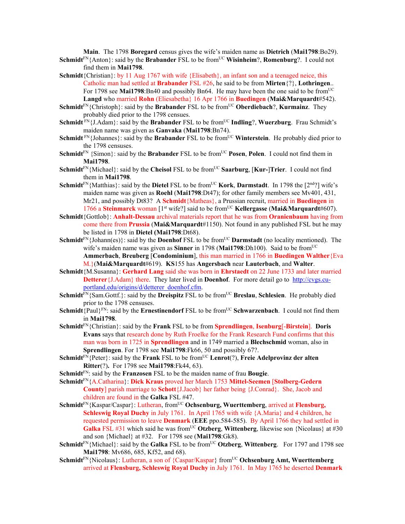**Main**. The 1798 **Boregard** census gives the wife's maiden name as **Dietrich** (**Mai1798**:Bo29).

- **Schmidt**FN{Anton}: said by the **Brabander** FSL to be fromUC **Wisinheim**?, **Romenburg**?. I could not find them in **Mai1798**.
- **Schmidt**{Christian}: by 11 Aug 1767 with wife {Elisabeth}, an infant son and a teenaged neice, this Catholic man had settled at **Brabander** FSL #26, he said to be from **Mirten**{?}, **Lothringen**.. For 1798 see Mai1798:Bn40 and possibly Bn64. He may have been the one said to be from<sup>UC</sup> **Langd** who married **Rohn** (Eliesabetha} 16 Apr 1766 in **Buedingen** (**Mai&Marquardt**#542).
- **Schmidt**<sup>FN</sup>{Christoph}: said by the **Brabander** FSL to be from<sup>UC</sup> Oberdiebach?, **Kurmainz**. They probably died prior to the 1798 censues.
- **Schmidt**<sup>FN</sup>{J.Adam}: said by the **Brabander** FSL to be from<sup>UC</sup> **Indling**?, **Wuerzburg**. Frau Schmidt's maiden name was given as **Ganvaka** (**Mai1798**:Bn74).
- **Schmidt**<sup>FN</sup>{Johannes}: said by the **Brabander** FSL to be from<sup>UC</sup> **Winterstein**. He probably died prior to the 1798 censuses.
- **Schmidt**<sup>FN</sup> {Simon}: said by the **Brabander** FSL to be from<sup>UC</sup> **Posen**, **Polen**. I could not find them in **Mai1798**.
- **Schmidt**<sup>FN</sup>{Michael}: said by the **Cheisol** FSL to be from<sup>UC</sup> **Saarburg**, [**Kur-**]**Trier**. I could not find them in **Mai1798**.
- **Schmidt**<sup>FN</sup>{Matthias}: said by the **Dietel** FSL to be from<sup>UC</sup> **Kork**, **Darmstadt**. In 1798 the [2<sup>nd</sup>?] wife's maiden name was given as **Roehl** (**Mai1798**:Dt47); for other family members see Mv401, 431, Mr21, and possibly Dt83? A **Schmidt**{Matheas}, a Prussian recruit, married in **Buedingen** in 1766 a **Steinmarck** woman [1st wife?] said to be fromUC **Kellergasse** (**Mai&Marquardt**#607).
- **Schmidt**{Gottlob}: **Anhalt-Dessau** archival materials report that he was from **Oranienbaum** having from come there from **Prussia** (**Mai&Marquardt**#1150). Not found in any published FSL but he may be listed in 1798 in **Dietel (Mai1798**:Dt68).
- **Schmidt**<sup>FN</sup>{Johann(es)}: said by the **Doenhof** FSL to be from<sup>UC</sup> **Darmstadt** (no locality mentioned). The wife's maiden name was given as **Sinner** in 1798 (Mai1798:Dh100). Said to be from<sup>UC</sup> **Ammerbach**, **Breuberg** [**Condominium**], this man married in 1766 in **Buedingen Walther**{Eva

M.}(**Mai&Marquardt**#619). **KS**155 has **Angersbach** near **Lauterbach**, and **Walter**.

- **Schmidt**{M.Susanna}: **Gerhard Lang** said she was born in **Ehrstaedt** on 22 June 1733 and later married **Detterer**{J.Adam} there. They later lived in **Doenhof**. For more detail go to http://cvgs.cuportland.edu/origins/d/detterer\_doenhof.cfm.
- **Schmidt**<sup>FN</sup>{Sam.Gottf.}: said by the **Dreispitz** FSL to be from<sup>UC</sup> **Breslau**, **Schlesien**. He probably died prior to the 1798 censuses.
- **Schmidt**{Paul}<sup>FN</sup>: said by the **Ernestinendorf** FSL to be from<sup>UC</sup> **Schwarzenbach**. I could not find them in **Mai1798**.
- **Schmidt**FN{Christian}: said by the **Frank** FSL to be from **Sprendlingen**, **Isenburg**[-**Birstein**]. **Doris Evans** says that research done by Ruth Froelke for the Frank Research Fund confirms that this man was born in 1725 in **Sprendlingen** and in 1749 married a **Blechschmid** woman, also in **Sprendlingen**. For 1798 see **Mai1798**:Fk66, 50 and possibly 67?.
- **Schmidt**FN{Peter}: said by the **Frank** FSL to be fromUC **Lenrot**(?), **Freie Adelprovinz der alten Ritter**(?)**.** For 1798 see **Mai1798**:Fk44, 63).
- **Schmidt**FN: said by the **Franzosen** FSL to be the maiden name of frau **Bougie**.
- **Schmidt**FN{A.Catharina}: **Dick Kraus** proved her March 1753 **Mittel-Seemen** [**Stolberg-Gedern County**] parish marriage to **Schott**{J.Jacob} her father being {J.Conrad}. She, Jacob and children are found in the **Galka** FSL #47.
- $Schmidt<sup>FN</sup>$ {Kaspar/Caspar}: Lutheran, from<sup>UC</sup> Ochsenburg, Wuerttemberg, arrived at Flensburg, **Schleswig Royal Duchy** in July 1761. In April 1765 with wife {A.Maria} and 4 children, he requested permission to leave **Denmark** (**EEE** ppo.584-585). By April 1766 they had settled in **Galka** FSL  $\#31$  which said he was from<sup>UC</sup> Otzberg, Wittenberg, likewise son {Nicolaus} at  $\#30$ and son {Michael} at #32. For 1798 see (**Mai1798**:Gk8).
- **Schmidt**<sup>FN</sup>{Michael}: said by the **Galka** FSL to be from<sup>UC</sup> **Otzberg**, **Wittenberg**. For 1797 and 1798 see **Mai1798**: Mv686, 685, Kf52, and 68).
- Schmidt<sup>FN</sup>{Nicolaus}: Lutheran, a son of {Caspar/Kaspar} from<sup>UC</sup> Ochsenburg Amt, Wuerttemberg arrived at **Flensburg, Schleswig Royal Duchy** in July 1761. In May 1765 he deserted **Denmark**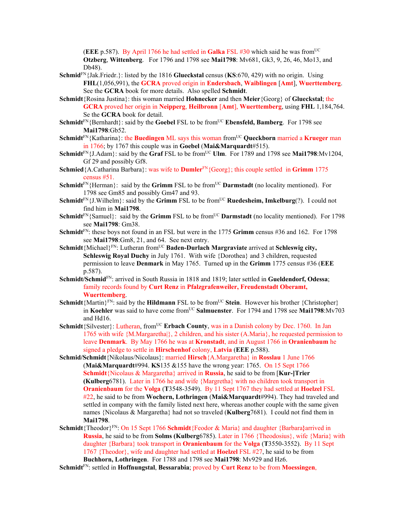(**EEE** p.587). By April 1766 he had settled in **Galka** FSL  $#30$  which said he was from<sup>UC</sup> **Otzberg**, **Wittenberg**. For 1796 and 1798 see **Mai1798**: Mv681, Gk3, 9, 26, 46, Mo13, and Db48).

- **Schmid**FN{Jak.Friedr.}: listed by the 1816 **Glueckstal** census (**KS**:670, 429) with no origin. Using **FHL**(1,056,991), the **GCRA** proved origin in **Endersbach**, **Waiblingen** [**Amt**], **Wuerttemberg**. See the **GCRA** book for more details.Also spelled **Schmidt**.
- **Schmidt**{Rosina Justina}: this woman married **Hohnecker** and then **Meier**{Georg} of **Glueckstal**; the **GCRA** proved her origin in **Neipperg**, **Heilbronn** [**Amt**], **Wuerttemberg**, using **FHL** 1,184,764. Se the **GCRA** book for detail.
- **Schmidt**<sup>FN</sup>{Bernhardt}: said by the **Goebel** FSL to be from<sup>UC</sup> **Ebensfeld, Bamberg**. For 1798 see **Mai1798**:Gb52.
- **Schmidt**<sup>FN</sup>{Katharina}: the **Buedingen** ML says this woman from<sup>UC</sup> Queckborn married a **Krueger** man in 1766; by 1767 this couple was in **Goebel** (**Mai&Marquardt**#515).
- **Schmidt**<sup>FN</sup>{J.Adam}: said by the **Graf** FSL to be from<sup>UC</sup> **Ulm**. For 1789 and 1798 see **Mai1798**:Mv1204, Gf 29 and possibly Gf8.
- **Schmied**{A.Catharina Barbara}: was wife to **Dumler**FN{Georg}; this couple settled in **Grimm** 1775 census #51.
- **Schmidt**<sup>FN</sup>{Herman}: said by the **Grimm** FSL to be from<sup>UC</sup> **Darmstadt** (no locality mentioned). For 1798 see Gm85 and possibly Gm47 and 93.
- **Schmidt**<sup>FN</sup>{J.Wilhelm}: said by the **Grimm** FSL to be from<sup>UC</sup> **Ruedesheim, Imkelburg**(?). I could not find him in **Mai1798**.
- **Schmidt**<sup>FN</sup>{Samuel}: said by the **Grimm** FSL to be from<sup>UC</sup> **Darmstadt** (no locality mentioned). For 1798 see **Mai1798**: Gm38.
- **Schmidt**FN: these boys not found in an FSL but were in the 1775 **Grimm** census #36 and 162. For 1798 see **Mai1798**:Gm8, 21, and 64. See next entry.
- **Schmidt**{Michael}<sup>FN</sup>: Lutheran from<sup>UC</sup> **Baden-Durlach Margraviate** arrived at **Schleswig city**, **Schleswig Royal Duchy** in July 1761. With wife {Dorothea} and 3 children, requested permission to leave **Denmark** in May 1765. Turned up in the **Grimm** 1775 census #36 (**EEE** p.587).
- **Schmidt/Schmid**FN: arrived in South Russia in 1818 and 1819; later settled in **Gueldendorf, Odessa**; family records found by **Curt Renz** in **Pfalzgrafenweiler, Freudenstadt Oberamt, Wuerttemberg**.
- **Schmidt**{Martin}<sup>FN</sup>: said by the **Hildmann** FSL to be from<sup>UC</sup> Stein. However his brother {Christopher} in **Koehler** was said to have come from<sup>UC</sup> Salmuenster. For 1794 and 1798 see Mai1798:Mv703 and Hd16.
- **Schmidt**{Silvester}: Lutheran, from<sup>UC</sup> **Erbach County**, was in a Danish colony by Dec. 1760. In Jan 1765 with wife {M.Margaretha|}, 2 children, and his sister (A.Maria}, he requested permission to leave **Denmark**. By May 1766 he was at **Kronstadt**, and in August 1766 in **Oranienbaum** he signed a pledge to settle in **Hirschenhof** colony, **Latvia** (**EEE** p.588).
- **Schmid/Schmidt**{Nikolaus/Nicolaus}: married **Hirsch**{A.Margaretha} in **Rosslau** 1 June 1766 (**Mai&Marquardt**#994. **KS**135 &155 have the wrong year: 1765. On 15 Sept 1766 **Schmidt**{Nicolaus & Margaretha} arrived in **Russia**, he said to be from [**Kur-]Trier (Kulberg**6781). Later in 1766 he and wife {Margretha} with no children took transport in **Oranienbaum** for the **Volga** (**T**3548-3549). By 11 Sept 1767 they had settled at **Hoelzel** FSL #22, he said to be from **Wochern, Lothringen** (**Mai&Marquardt**#994). They had traveled and settled in company with the family listed next here, whereas another couple with the same given names {Nicolaus & Margaretha} had not so traveled (**Kulberg**7681). I could not find them in **Mai1798**.
- **Schmidt**{Theodor}FN: On 15 Sept 1766 **Schmidt**{Feodor & Maria} and daughter {Barbara**}**arrived in **Russia**, he said to be from **Solms (Kulberg**6785). Later in 1766 {Theodosius}, wife {Maria} with daughter {Barbara} took transport in **Oranienbaum** for the **Volga** (**T**3550-3552). By 11 Sept 1767 {Theodor}, wife and daughter had settled at **Hoelzel** FSL #27, he said to be from **Buchhorn, Lothringen**. For 1788 and 1798 see **Mai1798**: Mv929 and Hz6.
- **Schmidt**FN: settled in **Hoffnungstal**, **Bessarabia**; proved by **Curt Renz** to be from **Moessingen**,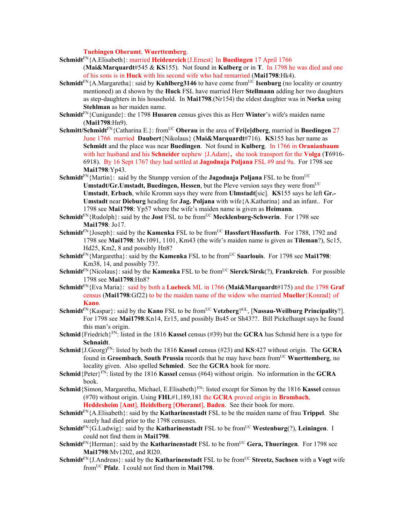**Tuebingen Oberamt**, **Wuerttemberg**.

- **Schmidt**FN{A.Elisabeth}: married **Heidenreich**{J.Ernest} In **Buedingen** 17 April 1766 (**Mai&Marquardt**#545 & **KS**155). Not found in **Kulberg** or in **T**. In 1798 he was died and one of his sons is in **Huck** with his second wife who had remarried (**Mai1798**:Hk4).
- **Schmidt**<sup>FN</sup>{A.Margaretha}: said by **Kuhlberg3146** to have come from<sup>UC</sup> **Isenburg** (no locality or country mentioned) an d shown by the **Huck** FSL have married Herr **Stellmann** adding her two daughters as step-daughters in his household. In **Mai1798**.(Nr154) the eldest daughter was in **Norka** using **Stehlman** as her maiden name.
- **Schmidt**FN{Cunigunde}: the 1798 **Husaren** census gives this as Herr **Winter**'s wife's maiden name (**Mai1798**:Hn9).
- **Schmitt/Schmidt**<sup>FN</sup>{Catharina E.}: from<sup>UC</sup> **Oberau** in the area of **Fri[e]dberg**, married in **Buedingen** 27 June 1766 married **Daubert**{Nikolaus} (**Mai&Marquardt**#716). **KS**155 has her name as **Schmidt** and the place was near **Buedingen**. Not found in **Kulberg**. In 1766 in **Oranianbaum** with her husband and his **Schneider** nephew {J.Adam}**,** she took transport for the **Volga** (**T**6916- 6918). By 16 Sept 1767 they had settled at **Jagodnaja Poljana** FSL #9 and 9a. For 1798 see **Mai1798**:Yp43.
- **Schmidt**<sup>FN</sup>{Martin}: said by the Stumpp version of the **Jagodnaja Poljana** FSL to be from<sup>UC</sup> **Umstadt/Gr.Umstadt, Buedingen, Hessen**, but the Pleve version says they were from<sup>UC</sup> **Umstadt**, **Erbach**, while Kromm says they were from **Ulmstadt**[sic]. **KS**155 says he left **Gr.- Umstadt** near **Dieburg** heading for **Jag. Poljana** with wife{A.Katharina} and an infant.. For 1798 see **Mai1798**: Yp57 where the wife's maiden name is given as **Heimann**.
- **Schmidt**<sup>FN</sup>{Rudolph}: said by the **Jost** FSL to be from<sup>UC</sup> **Mecklenburg-Schwerin**. For 1798 see **Mai1798**: Jo17.
- **Schmidt**<sup>FN</sup>{Joseph}: said by the **Kamenka** FSL to be from<sup>UC</sup> **Hassfurt/Hassfurth**. For 1788, 1792 and 1798 see **Mai1798**: Mv1091, 1101, Km43 (the wife's maiden name is given as **Tileman**?), Sc15, Hd25, Km2, 8 and possibly Hn8?
- **Schmidt**<sup>FN</sup>{Margaretha}: said by the **Kamenka** FSL to be from<sup>UC</sup> **Saarlouis**. For 1798 see **Mai1798**: Km38, 14, and possibly 73?.
- **Schmidt**<sup>FN</sup>{Nicolaus}: said by the **Kamenka** FSL to be from<sup>UC</sup> **Sierck/Sirsk**(?), **Frankreich**. For possible 1798 see **Mai1798**:Hn8?
- **Schmidt**FN{Eva Maria}: said by both a **Luebeck** ML in 1766 (**Mai&Marquardt**#175) and the 1798 **Graf** census (**Mai1798**:Gf22) to be the maiden name of the widow who married **Mueller**{Konrad} of **Kano**.
- **Schmidt**<sup>FN</sup>{Kaspar}: said by the **Kano** FSL to be from<sup>UC</sup> **Vetzberg**?<sup>GL</sup>, [**Nassau-Weilburg Principality**?]. For 1798 see **Mai1798**:Kn14, Er15, and possibly Bs45 or Sh43??. Bill Pickelhaupt says he found this man's origin.
- **Schmid**{Friedrich}<sup>FN</sup>: listed in the 1816 **Kassel** census (#39) but the **GCRA** has Schmid here is a typo for **Schnaidt**.
- **Schmid**{J.Georg)FN: listed by both the 1816 **Kassel** census (#23) and **KS**:427 without origin. The **GCRA** found in **Groembach**, **South Prussia** records that he may have been fromUC **Wuerttemberg**, no locality given. Also spelled **Schmied**. See the **GCRA** book for more.
- **Schmid**{Peter}FN: listed by the 1816 **Kassel** census (#64) without origin. No information in the **GCRA** book.
- **Schmid** {Simon, Margaretha, Michael, E.Elisabeth {<sup>FN</sup>: listed except for Simon by the 1816 **Kassel** census (#70) without origin. Using **FHL**#1,189,181 the **GCRA** proved origin in **Brombach**, **Heddesheim** [**Amt**], **Heidelberg** [**Oberamt**], **Baden**. See their book for more.
- **Schmidt**FN{A.Elisabeth}: said by the **Katharinenstadt** FSL to be the maiden name of frau **Trippel**. She surely had died prior to the 1798 censuses.
- **Schmidt**<sup>FN</sup>{G.Ludwig}: said by the **Katharinenstadt** FSL to be from<sup>UC</sup> **Westenburg**(?), **Leiningen**. I could not find them in **Mai1798**.
- **Schmidt**<sup>FN</sup>{Herman}: said by the **Katharinenstadt** FSL to be from<sup>UC</sup> Gera, Thueringen. For 1798 see **Mai1798**:Mv1202, and Rl20.
- **Schmidt**<sup>FN</sup>{J.Andreas}: said by the **Katharinenstadt** FSL to be from<sup>UC</sup> **Streetz, Sachsen** with a **Vogt** wife fromUC **Pfalz**. I could not find them in **Mai1798**.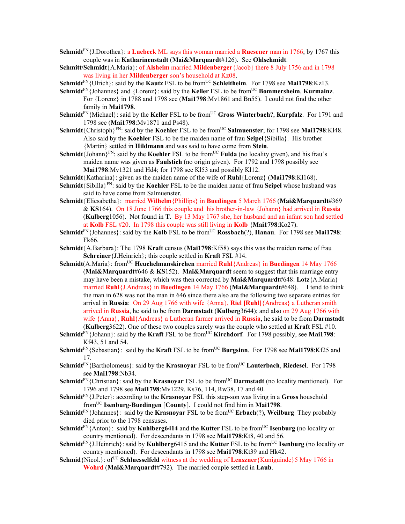- **Schmidt**FN{J.Dorothea}: a **Luebeck** ML says this woman married a **Ruesener** man in 1766; by 1767 this couple was in **Katharinenstadt** (**Mai&Marquardt**#126). See **Ohlschmidt**.
- **Schmitt/Schmidt**{A.Maria}: of **Alsheim** married **Mildenberger**{Jacob} there 8 July 1756 and in 1798 was living in her **Mildenberger** son's household at Kz08.

**Schmidt**<sup>FN</sup>{Ulrich}: said by the **Kautz** FSL to be from<sup>UC</sup> **Schleitheim**. For 1798 see **Mai1798**:Kz13.

- **Schmidt**<sup>FN</sup>{Johannes} and {Lorenz}: said by the **Keller** FSL to be from<sup>UC</sup> **Bommersheim**, **Kurmainz**. For {Lorenz} in 1788 and 1798 see (**Mai1798**:Mv1861 and Bn55). I could not find the other family in **Mai1798**.
- **Schmidt**<sup>FN</sup>{Michael}: said by the **Keller** FSL to be from<sup>UC</sup> Gross Winterbach?, **Kurpfalz**. For 1791 and 1798 see (**Mai1798**:Mv1871 and Ps48).
- Schmidt<sup>{</sup>Christoph}<sup>FN</sup>: said by the **Koehler** FSL to be from<sup>UC</sup> Salmuenster; for 1798 see Mai1798:Kl48. Also said by the **Koehler** FSL to be the maiden name of frau **Seipel**{Sibilla}. His brother {Martin} settled in **Hildmann** and was said to have come from **Stein**.
- Schmidt<sup>{J</sup>ohann}<sup>FN</sup>: said by the **Koehler** FSL to be from<sup>UC</sup> **Fulda** (no locality given), and his frau's maiden name was given as **Faulstich** (no origin given). For 1792 and 1798 possibly see **Mai1798**:Mv1321 and Hd4; for 1798 see Kl53 and possibly Kl12.
- **Schmidt**{Katharina}: given as the maiden name of the wife of **Ruhl**{Lorenz} (**Mai1798**:Kl168).
- **Schmidt**{Sibilla}FN: said by the **Koehler** FSL to be the maiden name of frau **Seipel** whose husband was said to have come from Salmuenster.
- **Schmidt**{Eliesabetha}: married **Wilhelm**{Phillips} in **Buedingen** 5 March 1766 (**Mai&Marquardt**#369 & **KS**164). On 18 June 1766 this couple and his brother-in-law {Johann} had arrived in **Russia** (**Kulberg**1056). Not found in **T**. By 13 May 1767 she, her husband and an infant son had settled at **Kolb** FSL #20. In 1798 this couple was still living in **Kolb** {**Mai1798**:Ko27).
- **Schmidt**<sup>FN</sup>{Johannes}: said by the **Kolb** FSL to be from<sup>UC</sup> **Rossbach**(?), **Hanau**. For 1798 see **Mai1798**: Fk66.
- **Schmidt**{A.Barbara}: The 1798 **Kraft** census (**Mai1798**:Kf58) says this was the maiden name of frau **Schreiner**{J.Heinrich}; this couple settled in **Kraft** FSL #14.
- **Schmidt**(A.Maria}: fromUC **Heuchelmanskirchen** married **Ruhl**{Andreas} in **Buedingen** 14 May 1766 (**Mai&Marquardt**#646 & **KS**152). **Mai&Marquardt** seem to suggest that this marriage entry may have been a mistake, which was then corrected by **Mai&Marquardt**#648: **Lotz**{A.Maria} married **Ruhl**{J.Andreas} in **Buedingen** 14 May 1766 (**Mai&Marquardt**#648). I tend to think the man in 628 was not the man in 646 since there also are the following two separate entries for arrival in **Russia**: On 29 Aug 1766 with wife {Anna}, **Riel [Ruhl]**{Andreas} a Lutheran smith arrived in **Russia**, he said to be from **Darmstadt** (**Kulberg**3644); and also on 29 Aug 1766 with wife {Anna}, **Ruhl**{Andreas} a Lutheran farmer arrived in **Russia**, he said to be from **Darmstadt** (**Kulberg**3622). One of these two couples surely was the couple who settled at **Kraft** FSL #10.
- **Schmidt**<sup>FN</sup>{Johann}: said by the **Kraft** FSL to be from<sup>UC</sup> **Kirchdorf**. For 1798 possibly, see **Mai1798**: Kf43, 51 and 54.
- **Schmidt**<sup>FN</sup>{Sebastian}: said by the **Kraft** FSL to be from<sup>UC</sup> **Burgsinn**. For 1798 see **Mai1798**:Kf25 and 17.
- **Schmidt**<sup>FN</sup>{Bartholomeus}: said by the **Krasnovar** FSL to be from<sup>UC</sup> **Lauterbach**, **Riedesel**. For 1798 see **Mai1798**:Nb34.
- **Schmidt**<sup>FN</sup>{Christian}: said by the **Krasnoyar** FSL to be from<sup>UC</sup> **Darmstadt** (no locality mentioned). For 1796 and 1798 see **Mai1798**:Mv1229, Ks76, 114, Rw38, 17 and 40.
- **Schmidt**FN{J.Peter}: according to the **Krasnoyar** FSL this step-son was living in a **Gross** household fromUC **Isenburg**-**Buedingen** [**County**]. I could not find him in **Mai1798**.
- **Schmidt**<sup>FN</sup>{Johannes}: said by the **Krasnoyar** FSL to be from<sup>UC</sup> **Erbach**(?), **Weilburg** They probably died prior to the 1798 censuses.
- **Schmidt**<sup>FN</sup>{Anton}: said by **Kuhlberg6414** and the **Kutter** FSL to be from<sup>UC</sup> **Isenburg** (no locality or country mentioned). For descendants in 1798 see **Mai1798**:Kt8, 40 and 56.
- **Schmidt**<sup>FN</sup>{J.Heinrich}: said by **Kuhlberg**6415 and the **Kutter** FSL to be from<sup>UC</sup> **Isenburg** (no locality or country mentioned). For descendants in 1798 see **Mai1798**:Kt39 and Hk42.
- **Schmid** {Nicol.}: of<sup>UC</sup> **Schluesselfeld** witness at the wedding of **Lenszner** {Kuniguinde}5 May 1766 in **Wohrd** (**Mai&Marquardt**#792). The married couple settled in **Laub**.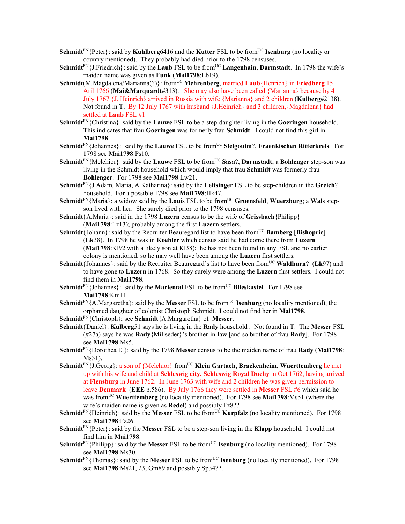- **Schmidt**<sup>FN</sup>{Peter}: said by **Kuhlberg6416** and the **Kutter** FSL to be from<sup>UC</sup> **Isenburg** (no locality or country mentioned). They probably had died prior to the 1798 censuses.
- **Schmidt**<sup>FN</sup>{J.Friedrich}: said by the **Laub** FSL to be from<sup>UC</sup> **Langenhain**, **Darmstadt**. In 1798 the wife's maiden name was given as **Funk** (**Mai1798**:Lb19).
- **Schmidt**(M.Magdalena/Marianna(?)}: fromUC **Mehrenberg**, married **Laub**{Henrich} in **Friedberg** 15 Aril 1766 (**Mai&Marquardt**#313). She may also have been called {Marianna} because by 4 July 1767 {J. Heinrich} arrived in Russia with wife {Marianna} and 2 children (**Kulberg**#2138). Not found in **T**. By 12 July 1767 with husband {J.Heinrich} and 3 children,{Magdalena} had settled at **Laub** FSL #1
- **Schmidt**FN{Christina}: said by the **Lauwe** FSL to be a step-daughter living in the **Goeringen** household. This indicates that frau **Goeringen** was formerly frau **Schmidt**. I could not find this girl in **Mai1798**.
- **Schmidt**<sup>FN</sup>{Johannes}: said by the **Lauwe** FSL to be from<sup>UC</sup> **Sleigouim**?, **Fraenkischen Ritterkreis**. For 1798 see **Mai1798**:Ps10.
- **Schmidt**<sup>FN</sup>{Melchior}: said by the **Lauwe** FSL to be from<sup>UC</sup> **Sasa**?, **Darmstadt**; a **Bohlenger** step-son was living in the Schmidt household which would imply that frau **Schmidt** was formerly frau **Bohlenger**. For 1798 see **Mai1798**:Lw21.
- **Schmidt**FN{J.Adam, Maria, A.Katharina}: said by the **Leitsinger** FSL to be step-children in the **Greich**? household. For a possible 1798 see **Mai1798**:Hk47.
- **Schmidt**FN{Maria}: a widow said by the **Louis** FSL to be fromUC **Gruensfeld**, **Wuerzburg**; a **Wals** stepson lived with her. She surely died prior to the 1798 censuses.
- **Schmidt**{A.Maria}: said in the 1798 **Luzern** census to be the wife of **Grissbach**{Philipp} (**Mai1798**:Lz13); probably among the first **Luzern** settlers.
- **Schmidt**{Johann}: said by the Recruiter Beauregard list to have been from<sup>UC</sup> **Bamberg** [Bishopric] (**Lk**38). In 1798 he was in **Koehler** which census said he had come there from **Luzern** (**Mai1798**:Kl92 with a likely son at Kl38); he has not been found in any FSL and no earlier colony is mentioned, so he may well have been among the **Luzern** first settlers.
- **Schmidt**{Johannes}: said by the Recruiter Beauregard's list to have been from<sup>UC</sup> Waldhurn? (Lk97) and to have gone to **Luzern** in 1768. So they surely were among the **Luzern** first settlers. I could not find them in **Mai1798**.
- **Schmidt**<sup>FN</sup>{Johannes}: said by the **Mariental** FSL to be from<sup>UC</sup> **Blieskastel**. For 1798 see **Mai1798**:Km11.
- **Schmidt**<sup>FN</sup>{A.Margaretha}: said by the **Messer** FSL to be from<sup>UC</sup> **Isenburg** (no locality mentioned), the orphaned daughter of colonist Christoph Schmidt. I could not find her in **Mai1798**.
- **Schmidt**FN{Christoph}: see **Schmidt**{A.Margaretha} of **Messer**.
- **Schmidt**{Daniel}: **Kulberg**51 says he is living in the **Rady** household . Not found in **T**. The **Messer** FSL (#27a) says he was **Rady**{Miliseder}'s brother-in-law [and so brother of frau **Rady**]. For 1798 see **Mai1798**:Ms5.
- **Schmidt**FN{Dorothea E.}: said by the 1798 **Messer** census to be the maiden name of frau **Rady** (**Mai1798**: Ms31).
- Schmidt<sup>FN</sup>{J.Georg}: a son of {Melchior} from<sup>UC</sup> **Klein Gartach, Brackenheim, Wuerttemberg** he met up with his wife and child at **Schleswig city, Schleswig Royal Duchy** in Oct 1762, having arrived at **Flensburg** in June 1762. In June 1763 with wife and 2 children he was given permission to leave **Denmark** (**EEE** p.586). By July 1766 they were settled in **Messer** FSL #6 which said he was from<sup>UC</sup> Wuerttemberg (no locality mentioned). For 1798 see Mai1798:Ms51 (where the wife's maiden name is given as **Redel**) and possibly Fz8??
- **Schmidt**<sup>FN</sup>{Heinrich}: said by the **Messer** FSL to be from<sup>UC</sup> **Kurpfalz** (no locality mentioned). For 1798 see **Mai1798**:Fz26.
- **Schmidt**FN{Peter}: said by the **Messer** FSL to be a step-son living in the **Klapp** household. I could not find him in **Mai1798**.
- **Schmidt**<sup>FN</sup>{Philipp}: said by the **Messer** FSL to be from<sup>UC</sup> **Isenburg** (no locality mentioned). For 1798 see **Mai1798**:Ms30.
- **Schmidt**<sup>FN</sup>{Thomas}: said by the **Messer** FSL to be from<sup>UC</sup> **Isenburg** (no locality mentioned). For 1798 see **Mai1798**:Ms21, 23, Gm89 and possibly Sp34??.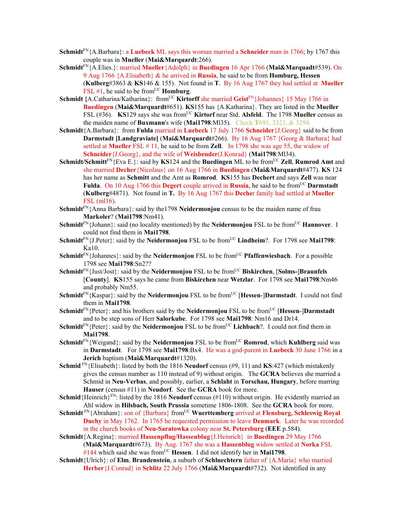- **Schmidt**FN{A.Barbara}: a **Luebeck** ML says this woman married a **Schneider** man in 1766; by 1767 this couple was in **Mueller** (**Mai&Marquardt**:266).
- **Schmidt**FN{A.Elies.}: married **Mueller**{Adolph} in **Buedingen** 16 Apr 1766 (**Mai&Marquadt**#539). On 9 Aug 1766 {A.Elisabeth} & he arrived in **Russia**, he said to be from **Homburg, Hessen**  (**Kulberg**#3863 & **KS**146 & 155). Not found in **T**.By 16 Aug 1767 they had settled at **Mueller** FSL #1, he said to be from<sup>UC</sup> **Homburg**.
- **Schmidt** {A.Catharina/Katharina}: from<sup>UC</sup> **Kirtorff** she married **Geist<sup>FN</sup>** {Johannes} 15 May 1766 in **Buedingen** (**Mai&Marquardt**#651). **KS**155 has {A.Katharina}. They are listed in the **Mueller** FSL (#36). **KS**129 says she was from<sup>UC</sup> **Kirtorf** near Std. Alsfeld. The 1798 Mueller census as the maiden name of **Buxmann**'s wife (**Mai1798**:Ml35). Check **T**691, 3323, & 3294.
- **Schmidt**{A.Barbara}: from **Fulda** married in **Luebeck** 17 July 1766 **Schneider**{J.Georg} said to be from **Darmstadt [Landgraviate]** (**Mai&Marquardt**#266). By 16 Aug 1767 {Georg & Barbara} had settled at **Mueller** FSL # 11, he said to be from **Zell**. In 1798 she was age 55, the widow of **Schneider**{J.Georg}, and the wife of **Weisbender**(J.Konrad} (**Mai1798**:Ml34).
- **Schmidt/Schmitt<sup>FN</sup>{Eva E.}: said by <b>KS**124 and the **Buedingen** ML to be from<sup>UC</sup> **Zell**, **Rumrod Amt** and she married **Decher**{Nicolaus} on 16 Aug 1766 in **Buedingen** (**Mai&Marquardt**#477). **KS** 124 has her name as **Schmitt** and the Amt as **Romrod**. **KS**155 has **Dechert** and says **Zell** was near **Fulda.** On 10 Aug 1766 this **Degert** couple arrived in **Russia**, he said to be from<sup>UC</sup> **Darmstadt** (**Kulberg**#4871). Not found in **T.** By 16 Aug 1767 this **Deche**r family had settled at **Mueller** FSL (ml16).
- **Schmidt**FN{Anna Barbara}: said by the1798 **Neidermonjou** census to be the maiden name of frau **Markoler**? (**Mai1798**:Nm41).
- **Schmidt**<sup>FN</sup>{Johann}: said (no locality mentioned) by the **Neidermonjou** FSL to be from<sup>UC</sup> **Hannover**. I could not find them in **Mai1798**.
- **Schmidt**FN{J.Peter}: said by the **Neidermonjou** FSL to be from<sup>UC</sup> **Lindheim**?. For 1798 see **Mai1798**: Ka10.
- **Schmidt**<sup>FN</sup>{Johannes}: said by the **Neidermonjou** FSL to be from<sup>UC</sup> **Pfaffenwiesbach**. For a possible 1798 see **Mai1798**:Sn2??
- **Schmidt**<sup>FN</sup>{Just/Jost}: said by the **Neidermonjou** FSL to be from<sup>UC</sup> **Biskirchen**, [**Solms-**]Braunfels [**County**]. **KS**155 says he came from **Biskirchen** near **Wetzlar**. For 1798 see **Mai1798**:Nm46 and probably Nm55.
- **Schmidt**<sup>FN</sup>{Kaspar}: said by the **Neidermonjou** FSL to be from<sup>UC</sup> [**Hessen-**]Darmstadt. I could not find them in **Mai1798**.
- **Schmidt**<sup>FN</sup>{Peter}: and his brothers said by the **Neidermonjou** FSL to be from<sup>UC</sup> [**Hessen-**]Darmstadt and to be step sons of Herr **Salorkube**. For 1798 see **Mai1798**: Nm16 and Dr14.
- **Schmidt**<sup>FN</sup>{Peter}: said by the **Neidermonjou** FSL to be from<sup>UC</sup> Lichbach?. I could not find them in **Mai1798**.
- **Schmidt**<sup>FN</sup>{Weigand}: said by the **Neidermonjou** FSL to be from<sup>UC</sup> **Romrod**, which **Kuhlberg** said was in **Darmstadt**. For 1798 see **Mai1798**:Bx4. He was a god-parent in **Luebeck** 30 June 1766 in a **Jerich** baptism (**Mai&Marquardt**#1320).
- **Schmid** FN{Elisabeth}: listed by both the 1816 **Neudorf** census (#9, 11) and **KS**:427 (which mistakenly gives the census number as 110 instead of 9) without origin. The **GCRA** believes she married a Schmid in **Neu-Verbas**, and possibly, earlier, a **Schlaht** in **Torschau, Hungary**, before marring **Hauser** (census #11) in **Neudorf**. See the **GCRA** book for more.
- **Schmid** {Heinrich}<sup>FN</sup>: listed by the 1816 **Neudorf** census ( $\#110$ ) without origin. He evidently married an Ahl widow in **Hilsbach, South Prussia** sometime 1806-1808. See the **GCRA** book for more.
- **Schmidt** FN{Abraham}: son of {Barbara} from<sup>UC</sup> **Wuerttemberg** arrived at **Flensburg, Schleswig Royal Duchy** in May 1762. In 1765 he requested permission to leave **Denmark**. Later he was recorded in the church books of **Neu-Saratowka** colony near **St. Petersburg** (**EEE** p.584).
- **Schmidt**{A.Regina}: married **Hassenpflug/Hassenblug**{J.Heinrich} in **Buedingen** 29 May 1766 (**Mai&Marquardt**#673). By Aug. 1767 she was a **Hassenblug** widow settled at **Norka** FSL #144 which said she was fromUC **Hessen**. I did not identify her in **Mai1798**.
- **Schmidt**{Ulrich}: of **Elm**, **Brandenstein**, a suburb of **Schluechtern** father of {A.Maria} who married **Herber**{J.Conrad} in **Schlitz** 22 July 1766 (**Mai&Marquardt**#732). Not identified in any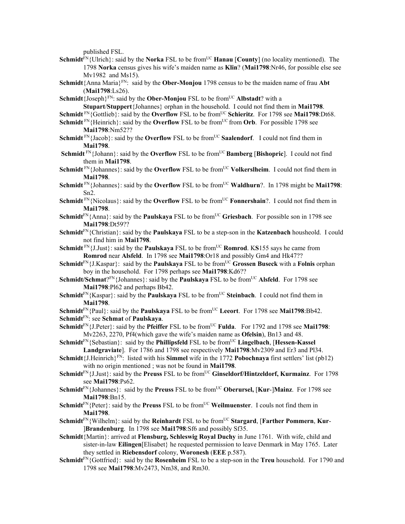published FSL.

- **Schmidt**<sup>FN</sup>{Ulrich}: said by the **Norka** FSL to be from<sup>UC</sup> **Hanau** [**County**] (no locality mentioned). The 1798 **Norka** census gives his wife's maiden name as **Klin**? (**Mai1798**:Nr46, for possible else see Mv1982 and Ms15).
- **Schmidt**{Anna Maria}FN: said by the **Ober-Monjou** 1798 census to be the maiden name of frau **Abt** (**Mai1798**:Ls26).
- **Schmidt**{Joseph}<sup>FN</sup>: said by the **Ober-Monjou** FSL to be from<sup>UC</sup> **Albstadt**? with a **Stupart**/**Stuppert**{Johannes} orphan in the household. I could not find them in **Mai1798**.
- **Schmidt**<sup>FN</sup>{Gottlieb}: said by the **Overflow** FSL to be from<sup>UC</sup> **Schieritz**. For 1798 see **Mai1798**:Dt68.
- **Schmidt**<sup>FN</sup>{Heinrich}: said by the **Overflow** FSL to be from<sup>UC</sup> from **Orb**. For possible 1798 see **Mai1798**:Nm52??
- **Schmidt** FN{Jacob}: said by the **Overflow** FSL to be from<sup>UC</sup> Saalendorf. I could not find them in **Mai1798**.
- **Schmidt** FN{Johann}: said by the **Overflow** FSL to be from<sup>UC</sup> **Bamberg** [Bishopric]. I could not find them in **Mai1798**.
- **Schmidt** FN{Johannes}: said by the **Overflow** FSL to be from<sup>UC</sup> **Volkerslheim**. I could not find them in **Mai1798**.
- Schmidt<sup>FN</sup>{Johannes}: said by the **Overflow** FSL to be from<sup>UC</sup> **Waldhurn**?. In 1798 might be **Mai1798**: Sn2.
- **Schmidt** FN{Nicolaus}: said by the **Overflow** FSL to be from<sup>UC</sup> **Fonnershain**?. I could not find them in **Mai1798**.
- **Schmidt**<sup>FN</sup>{Anna}: said by the **Paulskaya** FSL to be from<sup>UC</sup> Griesbach. For possible son in 1798 see **Mai1798**:Dt59??
- **Schmidt**FN{Christian}: said by the **Paulskaya** FSL to be a step-son in the **Katzenbach** housheold. I could not find him in **Mai1798**.
- **Schmidt**<sup>FN</sup>{J.Just}: said by the **Paulskaya** FSL to be from<sup>UC</sup> **Romrod**. KS155 says he came from **Romrod** near **Alsfeld**. In 1798 see **Mai1798**:Or18 and possibly Gm4 and Hk47??
- **Schmidt**<sup>FN</sup>{J.Kaspar}: said by the **Paulskaya** FSL to be from<sup>UC</sup> Grossen Buseck with a Folnis orphan boy in the household. For 1798 perhaps see **Mai1798**:Kd6??
- **Schmidt/Schmat**?FN{Johannes}: said by the **Paulskaya** FSL to be fromUC **Alsfeld**. For 1798 see **Mai1798**:Pl62 and perhaps Bb42.
- **Schmidt**<sup>FN</sup>{Kaspar}: said by the **Paulskaya** FSL to be from<sup>UC</sup> Steinbach. I could not find them in **Mai1798**.
- **Schmidt**<sup>FN</sup>{Paul}: said by the **Paulskaya** FSL to be from<sup>UC</sup> **Leeort**. For 1798 see **Mai1798**:Bb42.
- **Schmidt**FN: see **Schmat** of **Paulskaya**.
- **Schmidt**FN{J.Peter}: said by the **Pfeiffer** FSL to be fromUC **Fulda**. For 1792 and 1798 see **Mai1798**: Mv2263, 2270, Pf4(which gave the wife's maiden name as **Ofelsin**), Bn13 and 48.
- **Schmidt**<sup>FN</sup>{Sebastian}: said by the **Phillipsfeld** FSL to be from<sup>UC</sup> **Lingelbach**, [Hessen-Kassel **Landgraviate**]. For 1786 and 1798 see respectively **Mai1798**:Mv2309 and Er3 and Pl34.
- **Schmidt**{J.Heinrich}FN: listed with his **Simmel** wife in the 1772 **Pobochnaya** first settlers' list (pb12) with no origin mentioned ; was not be found in **Mai1798**.
- **Schmidt**<sup>FN</sup>{J.Just}: said by the **Preuss** FSL to be from<sup>UC</sup> Ginseldorf/Hintzeldorf, Kurmainz. For 1798 see **Mai1798**:Ps62.
- **Schmidt**FN{Johannes}: said by the **Preuss** FSL to be fromUC **Oberursel,** [**Kur**-]**Mainz**. For 1798 see **Mai1798**:Bn15.
- **Schmidt**<sup>FN</sup>{Peter}: said by the **Preuss** FSL to be from<sup>UC</sup> Weilmuenster. I couls not find them in **Mai1798**.
- **Schmidt**FN{Wilhelm}: said by the **Reinhardt** FSL to be fromUC **Stargard**, [**Farther Pommern**, **Kur** ]**Brandenburg**. In 1798 see **Mai1798**:Sf6 and possibly Sf35.
- **Schmidt**{Martin}: arrived at **Flensburg, Schleswig Royal Duchy** in June 1761. With wife, child and sister-in-law **Eilingen**[Elisabet} he requested permission to leave Denmark in May 1765. Later they settled in **Riebensdorf** colony, **Woronesh** (**EEE** p.587).
- **Schmidt**FN{Gottfried}: said by the **Rosenheim** FSL to be a step-son in the **Treu** household. For 1790 and 1798 see **Mai1798**:Mv2473, Nm38, and Rm30.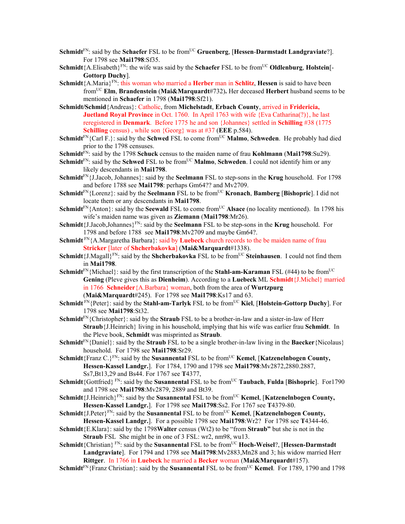- **Schmidt**<sup>FN</sup>: said by the **Schaefer** FSL to be from<sup>UC</sup> **Gruenberg**, [Hessen-Darmstadt Landgraviate?]. For 1798 see **Mai1798**:Sf35.
- **Schmidt**{A.Elisabeth}<sup>FN</sup>: the wife was said by the **Schaefer** FSL to be from<sup>UC</sup> **Oldlenburg**, **Holstein**[-**Gottorp Duchy**].
- **Schmidt**{A.Maria}FN: this woman who married a **Herber** man in **Schlitz**, **Hessen** is said to have been fromUC **Elm**, **Brandenstein** (**Mai&Marquardt**#732)**.** Her deceased **Herbert** husband seems to be mentioned in **Schaefer** in 1798 (**Mai1798**:Sf21).
- **Schmidt/Schmid**{Andreas}: Catholic, from **Michelstadt**, **Erbach County**, arrived in **Fridericia, Juetland Royal Province** in Oct. 1760. In April 1763 with wife {Eva Catharina(?)}, he last reregistered in **Denmark**. Before 1775 he and son {Johannes} settled in **Schilling** #38 (1775 **Schilling** census) , while son {Georg} was at #37 (**EEE** p.584).
- **Schmidt**<sup>FN</sup>{Carl F.}: said by the **Schwed** FSL to come from<sup>UC</sup> **Malmo**, **Schweden**. He probably had died prior to the 1798 censuses.
- **Schmidt**FN: said by the 1798 **Schuck** census to the maiden name of frau **Kohlmann** (**Mai1798**:Su29).
- **Schmidt**<sup>FN</sup>: said by the **Schwed** FSL to be from<sup>UC</sup> **Malmo, Schweden**. I could not identify him or any likely descendants in **Mai1798**.
- **Schmidt**FN{J.Jacob, Johannes}: said by the **Seelmann** FSL to step-sons in the **Krug** household. For 1798 and before 1788 see **Mai1798**: perhaps Gm64?? and Mv2709.
- **Schmidt**<sup>FN</sup>{Lorenz}: said by the **Seelmann** FSL to be from<sup>UC</sup> **Kronach**, **Bamberg** [**Bishopric**]. I did not locate them or any descendants in **Mai1798**.
- **Schmidt**<sup>FN</sup>{Anton}: said by the **Seewald** FSL to come from<sup>UC</sup> **Alsace** (no locality mentioned). In 1798 his wife's maiden name was given as **Ziemann** (**Mai1798**:Mr26).
- **Schmidt**{J.Jacob,Johannes}FN: said by the **Seelmann** FSL to be step-sons in the **Krug** household. For 1798 and before 1788 see **Mai1798**:Mv2709 and maybe Gm64?.
- **Schmidt** FN<sub>{</sub>A.Margaretha Barbara}: said by **Luebeck** church records to the be maiden name of frau **Stricker** [later of **Shcherbakovka**] (**Mai&Marquardt**#1338).
- **Schmidt**{J.Magall}FN: said by the **Shcherbakovka** FSL to be fromUC **Steinhausen**. I could not find them in **Mai1798**.
- **Schmidt**<sup>FN</sup>{Michael}: said by the first transcription of the **Stahl-am-Karaman** FSL (#44) to be from<sup>UC</sup> **Gening** (Pleve gives this as **Dienheim**). According to a **Luebeck** ML **Schmidt**{J.Michel} married in 1766 **Schneider**{A.Barbara} woman, both from the area of **Wurtzpurg** (**Mai&Marquardt**#245). For 1798 see **Mai1798**:Ks17 and 63.
- **Schmidt**  $\text{FN}_{i}$  (Peter}: said by the **Stahl-am-Tarlyk** FSL to be from<sup>UC</sup> Kiel, [Holstein-Gottorp Duchy]. For 1798 see **Mai1798**:St32.
- **Schmidt**FN{Christopher}: said by the **Straub** FSL to be a brother-in-law and a sister-in-law of Herr **Straub**{J.Heinrich} living in his household, implying that his wife was earlier frau **Schmidt**. In the Pleve book, **Schmidt** was misprinted as **Straub**.

**Schmidt**FN{Daniel}: said by the **Straub** FSL to be a single brother-in-law living in the **Baecker**{Nicolaus} household. For 1798 see **Mai1798**:Sr29.

- **Schmidt**{Franz C.}FN: said by the **Susannental** FSL to be fromUC **Kemel**, [**Katzenelnbogen County, Hessen-Kassel Landgr.**]. For 1784, 1790 and 1798 see **Mai1798**:Mv2872,2880.2887, Ss7,Bt13,29 and Bs44. For 1767 see **T**4377,
- **Schmidt**{Gottfried}<sup>FN</sup>: said by the **Susannental** FSL to be from<sup>UC</sup> **Taubach**, **Fulda** [Bishopric]. For1790 and 1798 see **Mai1798**:Mv2879, 2889 and Bt39.
- **Schmidt**{J.Heinrich}FN: said by the **Susannental** FSL to be fromUC **Kemel**, [**Katzenelnbogen County, Hessen-Kassel Landgr.**]. For 1798 see **Mai1798**:Ss2. For 1767 see **T**4379-80.
- Schmidt<sup>{J.Peter}FN:</sup> said by the **Susannental** FSL to be from<sup>UC</sup> **Kemel**, [**Katzenelnbogen County, Hessen-Kassel Landgr.**]. For a possible 1798 see **Mai1798**:Wr2? For 1798 see **T**4344-46.
- **Schmidt**{E.Klara}: said by the 1798**Walter** census (Wt2) to be "from **Straub"** but she is not in the **Straub** FSL She might be in one of 3 FSL: wr2, nm98, wu13.
- **Schmidt**{Christian}<sup>FN</sup>: said by the **Susannental** FSL to be from<sup>UC</sup> **Hoch-Weisel**?, [**Hessen-Darmstadt Landgraviate**]. For 1794 and 1798 see **Mai1798**:Mv2883,Mn28 and 3; his widow married Herr **Rittger**. In 1766 in **Luebeck** he married a **Becker** woman (**Mai&Marquardt**#157).
- **Schmidt**<sup>FN</sup>{Franz Christian}: said by the **Susannental** FSL to be from<sup>UC</sup> **Kemel**. For 1789, 1790 and 1798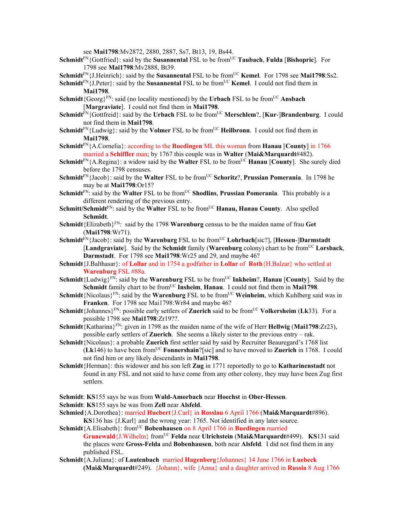see **Mai1798**:Mv2872, 2880, 2887, Ss7, Bt13, 19, Bs44.

- **Schmidt**FN{Gottfried}: said by the **Susannental** FSL to be fromUC **Taubach**, **Fulda** [**Bishopric**]. For 1798 see **Mai1798**:Mv2888, Bt39.
- **Schmidt**<sup>FN</sup>{J.Heinrich}: said by the **Susannental** FSL to be from<sup>UC</sup> **Kemel**. For 1798 see **Mai1798**:Ss2.

**Schmidt**<sup>FN</sup>{J.Peter}: said by the **Susannental** FSL to be from<sup>UC</sup> **Kemel**. I could not find them in **Mai1798**.

- **Schmidt**{Georg}<sup>FN</sup>: said (no locality mentioned) by the **Urbach** FSL to be from<sup>UC</sup> **Ansbach** [**Margraviate**]. I could not find them in **Mai1798**.
- **Schmidt**<sup>FN</sup>{Gottfreid}: said by the **Urbach** FSL to be from<sup>UC</sup> **Merschlem**?, [**Kur-**]Brandenburg. I could not find them in **Mai1798**.
- **Schmidt**<sup>FN</sup>{Ludwig}: said by the **Volmer** FSL to be from<sup>UC</sup> **Heilbronn**. I could not find them in **Mai1798**.
- **Schmidt**FN{A.Cornelia}: according to the **Buedingen** ML this woman from **Hanau** [**County**] in 1766 married a **Schiffler** man; by 1767 this couple was in **Walter** (**Mai&Marquardt**#482).
- **Schmidt**<sup>FN</sup>{A.Regina}: a widow said by the **Walter** FSL to be from<sup>UC</sup> **Hanau** [**County**]. She surely died before the 1798 censuses.
- **Schmidt**<sup>FN</sup>{Jacob}: said by the **Walter** FSL to be from<sup>UC</sup> **Schoritz**?, **Prussian Pomerania**. In 1798 he may be at **Mai1798**:Or15?
- **Schmidt**<sup>FN</sup>: said by the **Walter** FSL to be from<sup>UC</sup> **Shodlins**, **Prussian Pomerania**. This probably is a different rendering of the previous entry.
- **Schmitt/Schmidt**<sup>FN</sup>: said by the **Walter** FSL to be from<sup>UC</sup> **Hanau, Hanau County**. Also spelled **Schmidt**.
- **Schmidt**{Elizabeth}FN: said by the 1798 **Warenburg** census to be the maiden name of frau **Get** (**Mai1798**:Wr71).
- **Schmidt**<sup>FN</sup>{Jacob}: said by the **Warenburg** FSL to be from<sup>UC</sup> **Lohrbach**[sic?], [**Hessen-**]Darmstadt **[Landgraviate].** Said by the **Schmidt** family **(Warenburg** colony) chart to be from<sup>UC</sup> Lorsback, **Darmstadt**. For 1798 see **Mai1798**:Wr25 and 29, and maybe 46?
- **Schmidt**{J.Balthasar}: of **Lollar** and in 1754 a godfather in **Lollar** of **Roth**{H.Balzar} who settled at **Warenburg** FSL #88a.
- **Schmidt**{Ludwig}<sup>FN</sup>: said by the **Warenburg** FSL to be from<sup>UC</sup> Inkheim?, **Hanau** [County]. Said by the Schmidt family chart to be from<sup>UC</sup> Insheim, Hanau. I could not find them in Mai1798.
- **Schmidt**{Nicolaus}<sup>FN</sup>: said by the **Warenburg** FSL to be from<sup>UC</sup> **Weinheim**, which Kuhlberg said was in **Franken**. For 1798 see Mai1798:Wr84 and maybe 46?
- **Schmidt**{Johannes}<sup>FN</sup>: possible early settlers of **Zuerich** said to be from<sup>UC</sup> **Volkersheim** (**Lk**33). For a possible 1798 see **Mai1798**:Zr19??.
- **Schmidt**{Katharina}FN: given in 1798 as the maiden name of the wife of Herr **Hellwig** (**Mai1798**:Zr23), possible early settlers of **Zuerich**. She seems a likely sister to the previous entry – rak.
- **Schmidt**{Nicolaus}: a probable **Zuerich** first settler said by said by Recruiter Beauregard's 1768 list (**Lk**146) to have been fromUC **Fonnershain**?[sic] and to have moved to **Zuerich** in 1768. I could not find him or any likely descendants in **Mai1798**.
- **Schmidt**{Herman}: this widower and his son left **Zug** in 1771 reportedly to go to **Katharinenstadt** not found in any FSL and not said to have come from any other colony, they may have been Zug first settlers.
- **Schmidt**: **KS**155 says he was from **Wald-Amorbach** near **Hoechst** in **Ober-Hessen**.
- **Schmidt**: **KS**155 says he was from **Zell** near **Alsfeld**.
- **Schmied**{A.Dorothea}: married **Huebert**{J.Carl} in **Rosslau** 6 April 1766 (**Mai&Marquardt**#896). **KS**136 has {J.Karl} and the wrong year: 1765. Not identified in any later source.

**Schmidt**{A.Elisabeth}: from<sup>UC</sup> **Bobenhausen** on 8 April 1766 in **Buedingen** married **Grunewald**{J.Wilhelm} fromUC **Felda** near **Ulrichstein** (**Mai&Marquardt**#499). **KS**131 said the places were **Gross-Felda** and **Bobenhausen**, both near **Alsfeld**. I did not find them in any published FSL.

**Schmidt**{A.Juliana}: of **Lautenbach** married **Hagenberg**{Johannes} 14 June 1766 in **Luebeck (Mai&Marquardt**#249). {Johann}, wife {Anna} and a daughter arrived in **Russia** 8 Aug 1766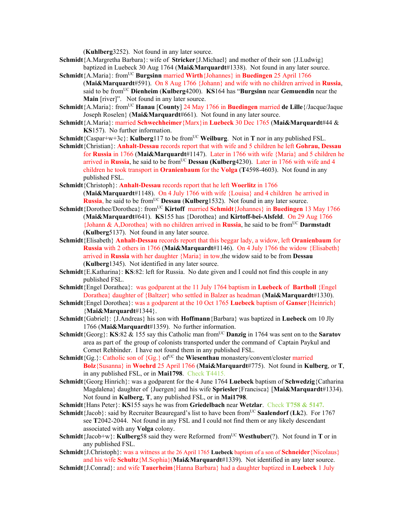(**Kuhlberg**3252). Not found in any later source.

- **Schmidt**{A.Margretha Barbara}: wife of **Stricker**{J.Michael} and mother of their son {J.Ludwig} baptized in Luebeck 30 Aug 1764 (**Mai&Marquardt**#1338). Not found in any later source.
- **Schmidt**{A.Maria}: fromUC **Burgsinn** married **Wirth**{Johannes} in **Buedingen** 25 April 1766 (**Mai&Marquardt**#591). On 8 Aug 1766 {Johann} and wife with no children arrived in **Russia**, said to be fromUC **Dienheim** (**Kulberg**4200). **KS**164 has "**Burgsinn** near **Gemuendin** near the **Main** [river]". Not found in any later source.
- **Schmidt**{A.Maria}: from<sup>UC</sup> **Hanau** [County] 24 May 1766 in **Buedingen** married de Lille{/Jacque/Jaque Joseph Roselen} (**Mai&Marquardt**#661). Not found in any later source.
- **Schmidt**{A.Maria}: married **Schwechheimer**{Marx}in **Luebeck** 30 Dec 1765 (**Mai&Marquardt**#44 & **KS**157). No further information.
- **Schmidt**{Caspar+w+3c}: **Kulberg**117 to be from<sup>UC</sup> **Weilburg**. Not in **T** nor in any published FSL.
- **Schmidt**{Christian}: **Anhalt-Dessau** records report that with wife and 5 children he left **Gohrau, Dessau**  for **Russia** in 1766 (**Mai&Marquardt**#1147). Later in 1766 with wife {Maria} and 5 children he arrived in **Russia**, he said to be from<sup>UC</sup> **Dessau (Kulberg**4230). Later in 1766 with wife and 4 children he took transport in **Oranienbaum** for the **Volga** (**T**4598-4603). Not found in any published FSL.
- **Schmidt**{Christoph}: **Anhalt-Dessau** records report that he left **Woerlitz** in 1766 (**Mai&Marquardt**#1148). On 4 July 1766 with wife {Louisa} and 4 children he arrived in **Russia**, he said to be from<sup>UC</sup> **Dessau** (**Kulberg**1532). Not found in any later source.
- **Schmidt**{Dorothee/Dorothea}: from<sup>UC</sup> **Kirtoff** married **Schmidt**{Johannes} in **Buedingen** 13 May 1766 (**Mai&Marquardt**#641). **KS**155 has {Dorothea} and **Kirtoff-bei-Alsfeld**. On 29 Aug 1766 {Johann & A,Dorothea} with no children arrived in **Russia**, he said to be fromUC **Darmstadt**  (**Kulberg**5137). Not found in any later source.
- **Schmidt**{Elisabeth} **Anhalt-Dessau** records report that this beggar lady, a widow, left **Oranienbaum** for **Russia** with 2 others in 1766 (**Mai&Marquardt**#1146). On 4 July 1766 the widow {Elisabeth} arrived in **Russia** with her daughter {Maria} in tow,the widow said to be from **Dessau**  (**Kulberg**1345). Not identified in any later source.
- **Schmidt**{E.Katharina}: **KS**:82: left for Russia. No date given and I could not find this couple in any published FSL.
- **Schmidt**{Engel Dorathea}: was godparent at the 11 July 1764 baptism in **Luebeck** of **Bartholl** {Engel Dorathea} daughter of {Baltzer} who settled in Balzer as headman (**Mai&Marquardt**#1330).
- **Schmidt**{Engel Dorothea}: was a godparent at the 10 Oct 1765 **Luebeck** baptism of **Ganser**{Heinrich} {**Mai&Marquardt**#1344}.
- **Schmidt**{Gabriel}: {J.Andreas} his son with **Hoffmann**{Barbara} was baptized in **Luebeck** om 10 Jly 1766 (**Mai&Marquardt**#1359). No further information.
- **Schmidt** ${Georg}$ : **KS**:82 & 155 say this Catholic man from<sup>UC</sup> **Danzig** in 1764 was sent on to the **Saratov** area as part of the group of colonists transported under the command of Captain Paykul and Cornet Rehbinder. I have not found them in any published FSL.
- **Schmidt** $\{Gg. \}$ : Catholic son of  $\{Gg. \}$  of<sup>UC</sup> the **Wiesenthau** monastery/convent/closter married **Bolz**{Susanna} in **Woehrd** 25 April 1766 (**Mai&Marquardt**#775). Not found in **Kulberg**, or **T**, in any published FSL, or in **Mai1798**. Check **T**4415.
- **Schmidt**{Georg Hinrich}: was a godparent for the 4 June 1764 **Luebeck** baptism of **Schwedzig**{Catharina Magdalena} daughter of {Juergen} and his wife **Spriesler**{Francisca} [**Mai&Marquardt**#1334). Not found in **Kulberg**, **T**, any published FSL, or in **Mai1798**.
- **Schmidt**{Hans Peter}: **KS**155 says he was from **Griedelbach** near **Wetzlar**. Check **T758 & 5147.**
- **Schmidt**{Jacob}: said by Recruiter Beauregard's list to have been from<sup>UC</sup> Saalendorf (Lk2). For 1767 see **T**2042-2044. Not found in any FSL and I could not find them or any likely descendant associated with any **Volga** colony.
- **Schmidt**{Jacob+w}: **Kulberg**58 said they were Reformed from<sup>UC</sup> Westhuber(?). Not found in **T** or in any published FSL.
- **Schmidt**{J.Christoph}: was a witness at the 26 April 1765 **Luebeck** baptism of a son of **Schneider**{Nicolaus} and his wife **Schultz**{M.Sophia}(**Mai&Marquardt**#1339). Not identified in any later source.
- **Schmidt**{J.Conrad}: and wife **Tauerheim**{Hanna Barbara} had a daughter baptized in **Luebeck** 1 July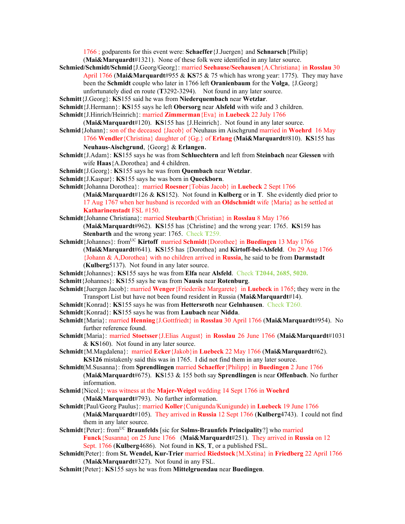1766 ; godparents for this event were: **Schaeffer**{J.Juergen} and **Schnarsch**{Philip}

- (**Mai&Marquardt**#1321). None of these folk were identified in any later source.
- **Schmied/Schmidt/Schmid**{J.Georg/Georg}: married **Seehause/Seehausen**{A.Christiana} in **Rosslau** 30 April 1766 (**Mai&Marquardt**#955 & **KS**75 & 75 which has wrong year: 1775). They may have been the **Schmidt** couple who later in 1766 left **Oranienbaum** for the **Volga**, {J.Georg}
	- unfortunately died en route (**T**3292-3294). Not found in any later source.
- **Schmitt**{J.Georg}: **KS**155 said he was from **Niederquembach** near **Wetzlar**.
- **Schmidt**{J.Hermann}: **KS**155 says he left **Obersorg** near **Alsfeld** with wife and 3 children.
- **Schmidt**{J.Hinrich/Heinrich}: married **Zimmerman**{Eva} in **Luebeck** 22 July 1766

(**Mai&Marquardt**#120). **KS**155 has {J.Heinrich}. Not found in any later source.

- **Schmid**{Johann}: son of the deceased {Jacob} of Neuhaus im Aischgrund married in **Woehrd** 16 May 1766 **Wendler**{Christina} daughter of {Gg.} of **Erlang** (**Mai&Marquardt**#810). **KS**155 has
	- **Neuhaus-Aischgrund**, {Georg} & **Erlangen**.
- **Schmidt**{J.Adam}: **KS**155 says he was from **Schluechtern** and left from **Steinbach** near **Giessen** with wife **Haas**{A.Dorothea} and 4 children.
- **Schmidt**{J.Georg}: **KS**155 says he was from **Quembach** near **Wetzlar**.
- **Schmidt**{J.Kaspar}: **KS**155 says he was born in **Queckborn**.
- **Schmidt**{Johanna Dorothea}: married **Roesner**{Tobias Jacob} in **Luebeck** 2 Sept 1766 (**Mai&Marquardt**#126 & **KS**152). Not found in **Kulberg** or in **T**. She evidently died prior to 17 Aug 1767 when her husband is recorded with an **Oldschmidt** wife {Maria} as he settled at **Katharinenstadt** FSL #150.
- **Schmidt**{Johanne Christiana}: married **Steubarth**{Christian} in **Rosslau** 8 May 1766 (**Mai&Marquardt**#962). **KS**155 has {Christine} and the wrong year: 1765. **KS**159 has **Stenbarth** and the wrong year: 1765. Check **T**259.
- **Schmidt**{Johannes}: from<sup>UC</sup> **Kirtoff** married **Schmidt**{Dorothee} in **Buedingen** 13 May 1766 (**Mai&Marquardt**#641). **KS**155 has {Dorothea} and **Kirtoff-bei-Alsfeld**. On 29 Aug 1766 {Johann & A,Dorothea} with no children arrived in **Russia**, he said to be from **Darmstadt**  (**Kulberg**5137). Not found in any later source.
- **Schmidt**{Johannes}: **KS**155 says he was from **Elfa** near **Alsfeld**. Check **T2044, 2685, 5020.**
- **Schmitt**{Johannes}: **KS**155 says he was from **Nausis** near **Rotenburg**.
- **Schmidt**{Juergen Jacob}: married **Wenger**{Friederike Margarete} in **Luebeck** in 1765; they were in the Transport List but have not been found resident in Russia (**Mai&Marquardt**#14).
- **Schmidt**{Konrad}: **KS**155 says he was from **Hettersroth** near **Gelnhausen**. Check **T**260.
- **Schmidt**{Konrad}: **KS**155 says he was from **Laubach** near **Nidda**.
- **Schmidt**{Maria}: married **Henning**{J.Gottfriedt} in **Rosslau** 30 April 1766 (**Mai&Marquardt**#954). No further reference found.
- **Schmidt**{Maria}: married **Stoetsser**{J.Elias August} in **Rosslau** 26 June 1766 (**Mai&Marquardt**#1031 & **KS**160). Not found in any later source.
- **Schmidt**{M.Magdalena}: married **Ecker**{Jakob}in **Luebeck** 22 May 1766 (**Mai&Marquardt**#62). **KS126** mistakenly said this was in 1765. I did not find them in any later source.
- **Schmidt**(M.Susanna}: from **Sprendlingen** married **Schaeffer**{Philipp} in **Buedingen** 2 June 1766 (**Mai&Marquardt**#675). **KS**153 & 155 both say **Sprendlingen** is near **Offenbach**. No further information.
- **Schmid**{Nicol.}: was witness at the **Majer-Weigel** wedding 14 Sept 1766 in **Woehrd** (**Mai&Marquardt**#793). No further information.
- **Schmidt**{Paul/Georg Paulus}: married **Koller**{Cunigunda/Kunigunde) in **Luebeck** 19 June 1766 (**Mai&Marquardt**#105). They arrived in **Russia** 12 Sept 1766 (**Kulberg**4743). I could not find them in any later source.
- **Schmidt**{Peter}: from<sup>UC</sup> **Braunfelds** [sic for **Solms-Braunfels Principality**?] who married **Funck**{Susanna} on 25 June 1766 (**Mai&Marquardt**#251). They arrived in **Russia** on 12 Sept. 1766 (**Kulberg**4686). Not found in **KS**, **T**, or a published FSL.
- **Schmidt**(Peter}: from **St. Wendel, Kur-Trier** married **Riedstock**{M.Xstina} in **Friedberg** 22 April 1766 (**Mai&Marquardt**#327). Not found in any FSL.
- **Schmitt**{Peter}: **KS**155 says he was from **Mittelgruendau** near **Buedingen**.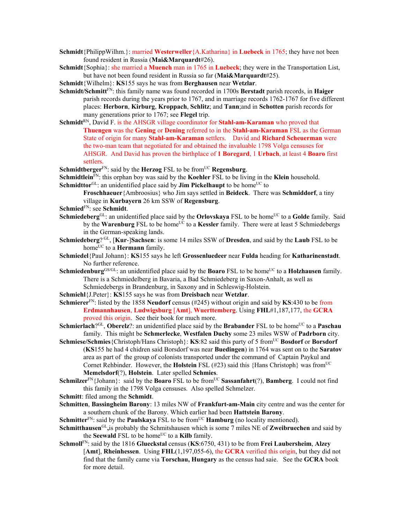- **Schmidt**{PhilippWilhm.}: married **Westerweller**{A.Katharina} in **Luebeck** in 1765; they have not been found resident in Russia (**Mai&Marquardt**#26).
- **Schmidt**{Sophia}: she married a **Muench** man in 1765 in **Luebeck**; they were in the Transportation List, but have not been found resident in Russia so far (**Mai&Marquardt**#25).
- **Schmidt**{Wilhelm}: **KS**155 says he was from **Berghausen** near **Wetzlar**.
- **Schmidt/Schmitt**FN: this family name was found recorded in 1700s **Berstadt** parish records, in **Haiger** parish records during the years prior to 1767, and in marriage records 1762-1767 for five different places: **Herborn**, **Kirburg**, **Kroppach**, **Schlitz**; and **Tann**;and in **Schotten** parish records for many generations prior to 1767; see **Flegel** trip.
- **Schmidt**RN, David F. is the AHSGR village coordinator for **Stahl-am-Karaman** who proved that **Thuengen** was the **Gening** or **Dening** referred to in the **Stahl-am-Karaman** FSL as the German State of origin for many **Stahl-am-Karaman** settlers. David and **Richard Scheuerman** were the two-man team that negotiated for and obtained the invaluable 1798 Volga censuses for AHSGR. And David has proven the birthplace of **1 Boregard**, 1 **Urbach**, at least 4 **Boaro** first settlers.
- **Schmidtberger**<sup>FN</sup>: said by the **Herzog** FSL to be from<sup>UC</sup> **Regensburg**.
- **Schmidtlein**FN: this orphan boy was said by the **Koehler** FSL to be living in the **Klein** household.

**Schmidttor**<sup>GL</sup>: an unidentified place said by **Jim Pickelhaupt** to be home<sup>UC</sup> to

**Froschhaeuer**{Ambroosius} who Jim says settled in **Beideck**. There was **Schmiddorf**, a tiny village in **Kurbayern** 26 km SSW of **Regensburg**.

- **Schmied**FN: see **Schmidt**.
- **Schmiedeberg**GL: an unidentified place said by the **Orlovskaya** FSL to be home<sup>UC</sup> to a **Golde** family. Said by the **Warenburg** FSL to be home<sup>UC</sup> to a **Kessler** family. There were at least 5 Schmiedebergs in the German-speaking lands.
- **Schmiedeberg**? GL, [**Kur**-]**Sachsen**: is some 14 miles SSW of **Dresden**, and said by the **Laub** FSL to be home<sup>UC</sup> to a **Hermann** family.
- **Schmiedel**{Paul Johann}: **KS**155 says he left **Grossenluedeer** near **Fulda** heading for **Katharinenstadt**. No further reference.
- **Schmiedenburg**<sup>GS/GL</sup>: an unidentified place said by the **Boaro** FSL to be home<sup>UC</sup> to a **Holzhausen** family. There is a Schmiedelberg in Bavaria, a Bad Schmiedeberg in Saxon-Anhalt, as well as Schmiedebergs in Brandenburg, in Saxony and in Schleswig-Holstein.
- **Schmiehl**{J.Peter}: **KS**155 says he was from **Dreisbach** near **Wetzlar**.
- **Schmierer**FN: listed by the 1858 **Neudorf** census (#245) without origin and said by **KS**:430 to be from **Erdmannhausen**, **Ludwigsburg** [**Amt**], **Wuerttemberg**. Using **FHL**#1,187,177, the **GCRA**  proved this origin. See their book for much more.
- **Schmierlach**?<sup>GL</sup>, **Oberelz**?: an unidentified place said by the **Brabander** FSL to be home<sup>UC</sup> to a **Paschau** family. This might be **Schmerlecke**, **Westfalen Duchy** some 23 miles WSW of **Padrborn** city.
- **Schmiese/Schmies** {Christoph/Hans Christoph}: **KS**:82 said this party of 5 from<sup>UC</sup> Bosdorf or Borsdorf (**KS**155 he had 4 chidren said Borsdorf was near **Buedingen**) in 1764 was sent on to the **Saratov** area as part of the group of colonists transported under the command of Captain Paykul and Cornet Rehbinder. However, the **Holstein** FSL (#23) said this {Hans Christoph} was from<sup>UC</sup> **Memelsdorf**(?), **Holstein**. Later spelled **Schmies**.
- **Schmilzer**<sup>FN</sup>{Johann}: said by the **Boaro** FSL to be from<sup>UC</sup> **Sassanfahrt**(?), **Bamberg**. I could not find this family in the 1798 Volga censuses. Also spelled Schmelzer.
- **Schmitt**: filed among the **Schmidt**.
- **Schmitten**, **Bassingheim Barony**: 13 miles NW of **Frankfurt-am-Main** city centre and was the center for a southern chunk of the Barony. Which earlier had been **Hattstein Barony**.

**Schmitter**<sup>FN</sup>: said by the **Paulskaya** FSL to be from<sup>UC</sup> **Hamburg** (no locality mentioned).

- **Schmitthausen**GL**,**is probably the Schmitshausen which is some 7 miles NE of **Zweibruechen** and said by the **Seewald** FSL to be home<sup>UC</sup> to a **Kilb** family.
- **Schmoll**FN: said by the 1816 **Glueckstal** census (**KS**:6750, 431) to be from **Frei Laubersheim**, **Alzey** [**Amt**], **Rheinhessen**. Using **FHL**(1,197,055-6), the **GCRA** verified this origin, but they did not find that the family came via **Torschau, Hungary** as the census had saie. See the **GCRA** book for more detail.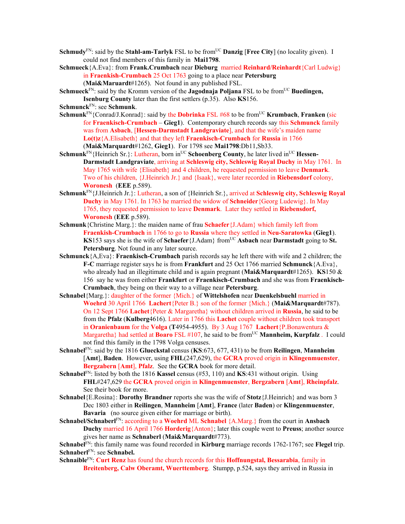- **Schmudy**<sup>FN</sup>: said by the **Stahl-am-Tarlyk** FSL to be from<sup>UC</sup> **Danzig** [Free City] (no locality given). I could not find members of this family in **Mai1798**.
- **Schmueck**{A.Eva}: from **Frank.Crumbach** near **Dieburg** married **Reinhard/Reinhardt**{Carl Ludwig} in **Fraenkish-Crumbach** 25 Oct 1763 going to a place near **Petersburg** (**Mai&Maruardt**#1265). Not found in any published FSL.
- **Schmueck**<sup>FN</sup>: said by the Kromm version of the **Jagodnaja Poljana** FSL to be from<sup>UC</sup> Buedingen, **Isenburg County** later than the first settlers (p.35). Also **KS**156.

**Schmunck**FN: see **Schmunk**.

- **Schmunk**<sup>FN</sup>{Conrad/J.Konrad}: said by the **Dobrinka** FSL #68 to be from<sup>UC</sup> **Krumbach**, **Franken** (sic for **Fraenkisch-Crumbach** – **Gieg1**). Contemporary church records say this **Schmunck** family was from **Asbach**, [**Hessen-Darmstadt Landgraviate**], and that the wife's maiden name **Lo(t)z**{A.Elisabeth} and that they left **Fraenkisch-Crumbach** for **Russia** in 1766 (**Mai&Marquardt**#1262, **Gieg1**). For 1798 see **Mai1798**:Db11,Sb33.
- Schmunk<sup>FN</sup>{Heinrich Sr.}: Lutheran, born in<sup>UC</sup> Schoenberg County, he later lived in<sup>UC</sup> Hessen-**Darmstadt Landgraviate**, arriving at **Schleswig city, Schleswig Royal Duchy** in May 1761. In May 1765 with wife {Elisabeth} and 4 children, he requested permission to leave **Denmark**. Two of his children, {J.Heinrich Jr.} and {Isaak}, were later recorded in **Riebensdorf** colony, **Woronesh** (**EEE** p.589).
- **Schmunk**FN{J.Heinrich Jr.}: Lutheran, a son of {Heinrich Sr.}, arrived at **Schleswig city, Schleswig Royal Duchy** in May 1761. In 1763 he married the widow of **Schneider**{Georg Ludewig}. In May 1765, they requested permission to leave **Denmark**. Later they settled in **Riebensdorf, Woronesh** (**EEE** p.589).
- **Schmunk**{Christine Marg.}: the maiden name of frau **Schaefer**{J.Adam} which family left from **Fraenkish-Crumbach** in 1766 to go to **Russia** where they settled in **Neu-Saratowka** (**Gieg1**). **KS**153 says she is the wife of **Schaefer** {J.Adam} from<sup>UC</sup> **Asbach** near **Darmstadt** going to **St. Petersburg**. Not found in any later source.
- **Schmunck**{A,Eva}: **Fraenkisch-Crumbach** parish records say he left there with wife and 2 children; the **F-C** marriage register says he is from **Frankfurt** and 25 Oct 1766 married **Schmunck**{A.Eva}, who already had an illegitimate child and is again pregnant (**Mai&Marquardt**#1265). **KS**150 & 156 say he was from either **Frankfurt** or **Fraenkisch-Crumbach** and she was from **Fraenkisch-Crumbach**, they being on their way to a village near **Petersburg**.
- **Schnabel**{Marg.}: daughter of the former {Mich.} of **Wittelshofen** near **Duenkelsbuehl** married in **Woehrd** 30 April 1766 **Lachert**{Peter B.} son of the former {Mich.} (**Mai&Marquardt**#787). On 12 Sept 1766 **Lachet**{Peter & Margaretha} without children arrived in **Russia**, he said to be from the **Pfalz** (**Kulberg**4616). Later in 1766 this **Lachet** couple without children took transport in **Oranienbaum** for the **Volga** (**T**4954-4955). By 3 Aug 1767 **Lachert**{P.Bonawentura & Margaretha} had settled at **Boaro** FSL #107, he said to be from<sup>UC</sup> Mannheim, Kurpfalz. I could not find this family in the 1798 Volga censuses.
- **Schnabel**FN: said by the 1816 **Glueckstal** census (**KS**:673, 677, 431) to be from **Reilingen**, **Mannheim** [**Amt**], **Baden**. However, using **FHL**(247,629), the **GCRA** proved origin in **Klingenmuenster**, **Bergzabern** [**Amt**], **Pfalz**. See the **GCRA** book for more detail.
- **Schnabel**FN: listed by both the 1816 **Kassel** census (#53, 110) and **KS**:431 without origin. Using **FHL**#247,629 the **GCRA** proved origin in **Klingenmuenster**, **Bergzabern** [**Amt**], **Rheinpfalz**. See their book for more.
- **Schnabel**{E.Rosina}: **Dorothy Brandner** reports she was the wife of **Stotz**{J.Heinrich} and was born 3 Dec 1803 either in **Reilingen**, **Mannheim** [**Amt**], **France** (later **Baden**) or **Klingenmuenster**, **Bavaria** (no source given either for marriage or birth).
- **Schnabel/Schnaberl**FN: according to a **Woehrd** ML **Schnabel** {A.Marg.} from the court in **Ansbach Duchy** married 16 April 1766 **Horderig**{Anton}; later this couple went to **Preuss**; another source gives her name as **Schnaberl** (**Mai&Marquardt**#773).

**Schnabel**FN: this family name was found recorded in **Kirburg** marriage records 1762-1767; see **Flegel** trip. **Schnaberl**FN: see **Schnabel.**

**Schnaible**FN: **Curt Renz** has found the church records for this **Hoffnungstal, Bessarabia**, family in **Breitenberg, Calw Oberamt, Wuerttemberg**. Stumpp, p.524, says they arrived in Russia in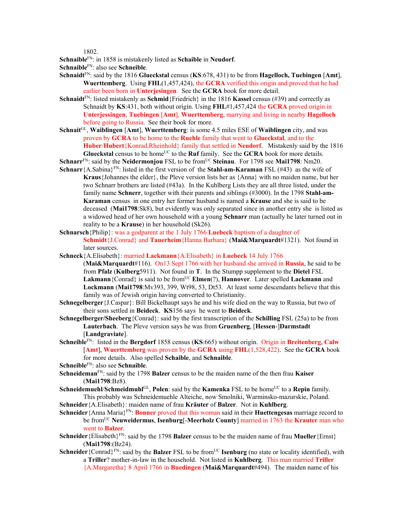1802.

**Schnaible**FN: in 1858 is mistakenly listed as **Schaible** in **Neudorf**. **Schnaible**FN: also see **Schneible**.

- **Schnaidt**FN: said by the 1816 **Glueckstal** census (**KS**:678, 431) to be from **Hagelloch, Tuebingen** [**Amt**], **Wuerttemberg**. Using **FHL**(1,457,424), the **GCRA** verified this origin and proved that he had earlier been born in **Unterjesingen**. See the **GCRA** book for more detail.
- **Schnaidt**<sup>FN</sup>: listed mistakenly as **Schmid**{Friedrich} in the 1816 **Kassel** census (#39) and correctly as Schnaidt by **KS**:431, both without origin. Using **FHL**#1,457,424 the **GCRA** proved origin in **Unterjessingen**, **Tuebingen** [**Amt**], **Wuerttemberg**, marrying and living in nearby **Hagelloch** before going to Russia. See their book for more.
- **Schnait**GL, **Waiblingen** [**Amt**], **Wuerttemberg**: is some 4.5 miles ESE of **Waiblingen** city, and was proven by **GCRA** to be home to the **Ruehle** family that went to **Glueckstal**, and to the **Huber**/**Hubert**{Konrad,Rheinhold} family that settled in **Neudorf**. Mistakenly said by the 1816 **Glueckstal** census to be home<sup>UC</sup> to the **Ruf** family. See the **GCRA** book for more details.
- **Schnarr**<sup>FN</sup>: said by the **Neidermonjou** FSL to be from<sup>UC</sup> Steinau. For 1798 see Mai1798: Nm20.
- **Schnarr**{A.Sabina}FN: listed in the first version of the **Stahl-am-Karaman** FSL (#43) as the wife of **Kraus**{Johannes the elder}, the Pleve version lists her as {Anna} with no maiden name, but her two Schnarr brothers are listed (#43a). In the Kuhlberg Lists they are all three listed, under the family name **Schnerr**, together with their parents and siblings (#3000). In the 1798 **Stahl-am-Karaman** census in one entry her former husband is named a **Krause** and she is said to be deceased (**Mai1798**:Sk8), but evidently was only separated since in another entry she is listed as a widowed head of her own household with a young **Schnarr** man (actually he later turned out in reality to be a **Krause**) in her household (Sk26).
- **Schnarsch**{Philip}: was a godparent at the 1 July 1766 **Luebeck** baptism of a daughter of **Schmidt**{J.Conrad} and **Tauerheim**{Hanna Barbara} (**Mai&Marquardt**#1321). Not found in later sources.
- **Schneck**{A.Elisabeth}: married **Lackmann**{A.Elisabeth} in **Luebeck** 14 July 1766 (**Mai&Marquardt**#116). On13 Sept 1766 with her husband she arrived in **Russia**, he said to be from **Pfalz** (**Kulberg**5911). Not found in **T**. In the Stumpp supplement to the **Dietel** FSL Lakmann {Conrad} is said to be from<sup>UC</sup> **Elmen**(?), **Hannover**. Later spelled **Lackmann** and **Lockmann** (**Mai1798**:Mv393, 399, Wt98, 53, Dt53. At least some descendants believe that this family was of Jewish origin having converted to Christianity.
- **Schnegelberger**{J.Caspar}: Bill Bickelhaupt says he and his wife died on the way to Russia, but two of their sons settled in **Beideck**. **KS**156 says he went to **Beideck**.
- **Schnegelberger/Sheeberg**{Conrad}: said by the first transcription of the **Schilling** FSL (25a) to be from **Lauterbach**. The Pleve version says he was from **Gruenberg**, [**Hessen**-]**Darmstadt** [**Landgraviate**].
- **Schneible**FN: listed in the **Bergdorf** 1858 census (**KS**:665) without origin. Origin in **Breitenberg**, **Calw** [**Amt**], **Wuerttemberg** was proven by the **GCRA** using **FHL**(1,528,422). See the **GCRA** book for more details. Also spelled **Schaible**, and **Schnaible**.

**Schneible**FN: also see **Schnaible**.

- **Schneideman**FN: said by the 1798 **Balzer** census to be the maiden name of the then frau **Kaiser** (**Mai1798**:Bz8).
- **Schneidemuehl/Schmeidmuhl**<sup>GL</sup>, **Polen**: said by the **Kamenka** FSL to be home<sup>UC</sup> to a **Repin** family. This probably was Schneidemuehle Alteiche, now Smolniki, Warminsko-mazurskie, Poland.
- **Schneider**{A.Elisabeth}: maiden name of frau **Kräuter** of **Balzer**. Not in **Kuhlberg**.
- **Schneider** {Anna Maria}<sup>FN</sup>: **Bonner** proved that this woman said in their **Huettengesas** marriage record to be fromUC **Neuweidermus**, **Isenburg**[-**Meerholz County**] married in 1763 the **Krauter** man who went to **Balzer**.
- **Schneider**{Elisabeth}<sup>FN</sup>: said by the 1798 **Balzer** census to be the maiden name of frau **Mueller**{Ernst} (**Mai1798**:(Bz24).
- **Schneider**{Conrad}<sup>FN</sup>: said by the **Balzer** FSL to be from<sup>UC</sup> **Isenburg** (no state or locality identified), with a **Triller**? mother-in-law in the household. Not listed in **Kuhlberg**. This man married **Triller** {A.Margaretha} 8 April 1766 in **Buedingen** (**Mai&Marquardt**#494). The maiden name of his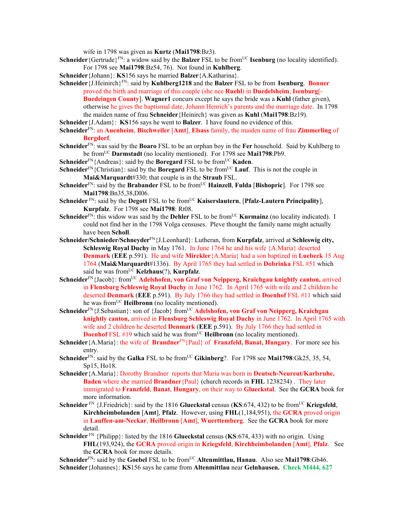wife in 1798 was given as **Kurtz** (**Mai1798**:Bz3).

- **Schneider** {Gertrude}<sup>FN</sup>: a widow said by the **Balzer** FSL to be from<sup>UC</sup> **Isenburg** (no locality identified). For 1798 see **Mai1798**:Bz54, 76). Not found in **Kuhlberg**.
- **Schneider**{Johann}: **KS**156 says he married **Balzer**{A.Katharina}.
- **Schneider**{J.Heinirch}FN: said by **Kuhlberg1218** and the **Balzer** FSL to be from **Isenburg**. **Bonner** proved the birth and marriage of this couple (she nee **Ruehl**) in **Duedelsheim**, **Isenburg**[- **Buedeingen County**]. **Wagner1** concurs except he says the bride was a **Kuhl** (father given), otherwise he gives the baptismal date, Johann Henrich's parents and the marriage date. In 1798 the maiden name of frau **Schneider**{Heinirch} was given as **Kuhl** (**Mai1798**:Bz19).
- **Schneider**{J.Adam}: **KS**156 says he went to **Balzer**. I have found no evidence of this.
- **Schneider**FN: an **Auenheim**, **Bischweiler** [**Amt**], **Elsass** family, the maiden name of frau **Zimmerling** of **Bergdorf**.
- **Schneider**FN: was said by the **Boaro** FSL to be an orphan boy in the **Fer** household. Said by Kuhlberg to be fromUC **Darmstadt** (no locality mentioned). For 1798 see **Mai1798**:Pb9.
- **Schneider**<sup>FN</sup>{Andreas}: said by the **Boregard** FSL to be from<sup>UC</sup> **Kaden**.
- **Schneider**<sup>FN</sup>{Christian}: said by the **Boregard** FSL to be from<sup>UC</sup> **Lauf**. This is not the couple in **Mai&Marquardt**#330; that couple is in the **Straub** FSL.
- **Schneider**<sup>FN</sup>: said by the **Brabander** FSL to be from<sup>UC</sup> **Hainzell**, **Fulda** [Bishopric]. For 1798 see **Mai1798**:Bn35,38,Dl06.
- **Schneider** FN: said by the **Degott** FSL to be fromUC **Kaiserslautern**, [**Pfalz-Lautern Principality**], **Kurpfalz**. For 1798 see **Mai1798**: Rt08.
- **Schneider**<sup>FN</sup>: this widow was said by the **Dehler** FSL to be from<sup>UC</sup> **Kurmainz** (no locality indicated). I could not find her in the 1798 Volga censuses. Pleve thought the family name might actually have been **Scholl**.
- **Schneider/Schnieder/Schneyder**FN{J.Leonhard}: Lutheran, from **Kurpfalz**, arrived at **Schleswig city, Schleswig Royal Duchy** in May 1761. In June 1764 he and his wife {A.Maria} deserted **Denmark** (**EEE** p.591). He and wife **Mirckler**{A.Maria} had a son baptized in **Luebeck** 15 Aug 1764 (**Mai&Marquardt**#1336). By April 1765 they had settled in **Dobrinka** FSL #51 which said he was from<sup>UC</sup> **Kelzhaus**(?), **Kurpfalz**.
- Schneider<sup>FN</sup>{Jacob}: from<sup>UC</sup> Adelshofen, von Graf von Neipperg, Kraichgau knightly canton, arrived in **Flensburg Schleswig Royal Duchy** in June 1762. In April 1765 with wife and 2 children he deserted **Denmark** (**EEE** p.591). By July 1766 they had settled in **Doenhof** FSL #11 which said he was fromUC **Heilbronn** (no locality mentioned).
- Schneider<sup>FN</sup>{J.Sebastian}: son of {Jacob} from<sup>UC</sup> Adelshofen, von Graf von Neipperg, Kraichgau **knightly canton,** arrived in **Flensburg Schleswig Royal Duchy** in June 1762. In April 1765 with wife and 2 children he deserted **Denmark** (**EEE** p.591). By July 1766 they had settled in **Doenhof** FSL #19 which said he was from<sup>UC</sup> Heilbronn (no locality mentioned).
- **Schneider**{A.Maria}: the wife of **Brandner**<sup>FN</sup>{Paul} of **Franzfeld, Banat, Hungary**. For more see his entry.
- **Schneider**<sup>FN</sup>: said by the **Galka** FSL to be from<sup>UC</sup> Gikinberg?. For 1798 see Mai1798:Gk25, 35, 54, Sp15, Ho18.
- **Schneider**{A.Maria}: Dorothy Brandner reports that Maria was born in **Deutsch-Neureut/Karlsruhe, Baden** where she married **Brandner**{Paul} (church records in **FHL** 1238234) . They later immigrated to **Franzfeld**, **Banat**, **Hungary**, on their way to **Glueckstal**. See the **GCRA** book for more information.
- **Schneider** FN {J.Friedrich}: said by the 1816 **Glueckstal** census (**KS**:674, 432) to be fromUC **Kriegsfeld**, **Kirchheimbolanden** [**Amt**], **Pfalz**. However, using **FHL**(1,184,951), the **GCRA** proved origin in **Lauffen-am-Neckar**, **Heilbronn** [**Amt**], **Wuerttemberg**. See the **GCRA** book for more detail.
- **Schneider** FN {Philipp}: listed by the 1816 **Glueckstal** census (**KS**:674, 433) with no origin. Using **FHL**(193,924), the **GCRA** proved origin in **Kriegsfeld**, **Kirchheimbolanden** [**Amt**], **Pfalz**. See the **GCRA** book for more details.

**Schneider**FN: said by the **Goebel** FSL to be fromUC **Altenmittlau, Hanau**. Also see **Mai1798**:Gb46. **Schneider**{Johannes}: **KS**156 says he came from **Altenmittlau** near **Gelnhausen. Check M444, 627**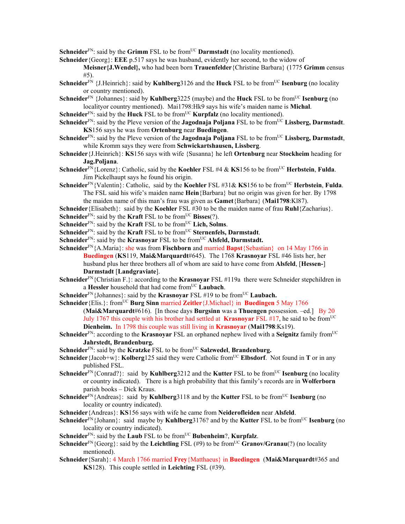**Schneider**<sup>FN</sup>: said by the **Grimm** FSL to be from<sup>UC</sup> **Darmstadt** (no locality mentioned).

**Schneider**{Georg}: **EEE** p.517 says he was husband, evidently her second, to the widow of

**Meisner{J.Wendel},** who had been born **Trauenfelder**{Christine Barbara} (1775 **Grimm** census #5).

- **Schneider**<sup>FN</sup> {J.Heinrich}: said by **Kuhlberg**3126 and the **Huck** FSL to be from<sup>UC</sup> **Isenburg** (no locality or country mentioned).
- **Schneider**<sup>FN</sup> {Johannes}: said by **Kuhlberg** 3225 (maybe) and the **Huck** FSL to be from<sup>UC</sup> **Isenburg** (no localityor country mentioned). Mai1798:Hk9 says his wife's maiden name is **Michal**.
- **Schneider**<sup>FN</sup>: said by the **Huck** FSL to be from<sup>UC</sup> **Kurpfalz** (no locality mentioned).
- **Schneider**<sup>FN</sup>: said by the Pleve version of the **Jagodnaja Poljana** FSL to be from<sup>UC</sup> Lissberg, Darmstadt. **KS**156 says he was from **Ortenburg** near **Buedingen**.
- Schneider<sup>FN</sup>: said by the Pleve version of the **Jagodnaja Poljana** FSL to be from<sup>UC</sup> Lissberg, Darmstadt, while Kromm says they were from **Schwickartshausen, Lissberg**.
- **Schneider**{J.Heinrich}: **KS**156 says with wife {Susanna} he left **Ortenburg** near **Stockheim** heading for **Jag.Poljana**.
- **Schneider**FN{Lorenz}: Catholic, said by the **Koehler** FSL #4 & **KS**156 to be fromUC **Herbstein**, **Fulda**. Jim Pickelhaupt says he found his origin.
- **Schneider**FN{Valentin}: Catholic, said by the **Koehler** FSL #31& **KS**156 to be fromUC **Herbstein**, **Fulda**. The FSL said his wife's maiden name **Hein**{Barbara} but no origin was given for her. By 1798 the maiden name of this man's frau was given as **Gamet**{Barbara} (**Mai1798**:Kl87).
- **Schneider**{Elisabeth}: said by the **Koehler** FSL #30 to be the maiden name of frau **Ruhl**{Zacharius}.
- **Schneider**<sup>FN</sup>: said by the **Kraft** FSL to be from<sup>UC</sup> **Bisses**(?).
- **Schneider**<sup>FN</sup>: said by the **Kraft** FSL to be from<sup>UC</sup> Lich, Solms.
- **Schneider**<sup>FN</sup>: said by the **Kraft** FSL to be from<sup>UC</sup> **Sternenfels, Darmstadt**.
- **Schneider**<sup>FN</sup>: said by the **Krasnoyar** FSL to be from<sup>UC</sup> Alsfeld, Darmstadt.
- **Schneider**<sup>FN</sup>{A.Maria}: she was from **Fischborn** and married **Bapst**{Sebastian} on 14 May 1766 in **Buedingen** (**KS**119, **Mai&Marquardt**#645). The 1768 **Krasnoyar** FSL #46 lists her, her husband plus her three brothers all of whom are said to have come from **Alsfeld**, [**Hessen-**] **Darmstadt** [**Landgraviate**].
- **Schneider**FN{Christian F.}: according to the **Krasnoyar** FSL #119a there were Schneider stepchildren in a **Hessler** household that had come fromUC **Laubach**.
- **Schneider**<sup>FN</sup>{Johannes}: said by the **Krasnoyar** FSL #19 to be from<sup>UC</sup> **Laubach.**
- **Schneider** {Elis.}: from<sup>UC</sup> **Burg Sinn** married **Zeitler** {J.Michael} in **Buedingen** 5 May 1766 (**Mai&Marquardt**#616). [In those days **Burgsinn** was a **Thuengen** possession. –ed.] By 20 July 1767 this couple with his brother had settled at **Krasnoyar** FSL #17, he said to be fromUC **Dienheim.** In 1798 this couple was still living in **Krasnoyar** (**Mai1798**:Ks19).
- **Schneider**<sup>FN</sup>: according to the **Krasnoyar** FSL an orphaned nephew lived with a **Seignitz** family from<sup>UC</sup> **Jahrstedt, Brandenburg.**
- **Schneider**<sup>FN</sup>: said by the **Kratzke** FSL to be from<sup>UC</sup> **Salzwedel**, **Brandenburg.**
- **Schneider**{Jacob+w}: **Kolberg**125 said they were Catholic from<sup>UC</sup> **Elbsdorf**. Not found in **T** or in any published FSL.
- **Schneider**<sup>FN</sup>{Conrad?}: said by **Kuhlberg**3212 and the **Kutter** FSL to be from<sup>UC</sup> **Isenburg** (no locality or country indicated). There is a high probability that this family's records are in **Wolferborn** parish books – Dick Kraus.
- **Schneider**<sup>FN</sup>{Andreas}: said by **Kuhlberg**3118 and by the **Kutter** FSL to be from<sup>UC</sup> **Isenburg** (no locality or country indicated).
- **Schneider**{Andreas}: **KS**156 says with wife he came from **Neiderofleiden** near **Alsfeld**.
- **Schneider**<sup>FN</sup>{Johann}: said maybe by **Kuhlberg**3176? and by the **Kutter** FSL to be from<sup>UC</sup> **Isenburg** (no locality or country indicated).
- **Schneider**FN: said by the **Laub** FSL to be fromUC **Bubenheim**?, **Kurpfalz**.
- **Schneider**<sup>FN</sup>{Georg}: said by the **Leichtling** FSL (#9) to be from<sup>UC</sup> **Granov/Granau**(?) (no locality mentioned).
- **Schneider**{Sarah}: 4 March 1766 married **Frey**{Matthaeus} in **Buedingen** (**Mai&Marquardt**#365 and **KS**128). This couple settled in **Leichting** FSL (#39).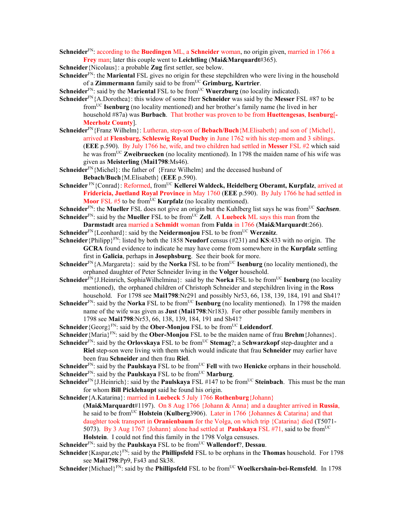**Schneider**FN: according to the **Buedingen** ML, a **Schneider** woman, no origin given, married in 1766 a **Frey** man; later this couple went to **Leichtling** (**Mai&Marquardt**#365).

**Schneider**{Nicolaus}: a probable **Zug** first settler, see below.

**Schneider**FN: the **Mariental** FSL gives no origin for these stepchildren who were living in the household of a **Zimmermann** family said to be from<sup>UC</sup> Grimburg, Kurtrier.

**Schneider**<sup>FN</sup>: said by the **Mariental** FSL to be from<sup>UC</sup> **Wuerzburg** (no locality indicated).

- **Schneider**FN{A.Dorothea}: this widow of some Herr **Schneider** was said by the **Messer** FSL #87 to be fromUC **Isenburg** (no locality mentioned) and her brother's family name (he lived in her household #87a) was **Burbach**. That brother was proven to be from **Huettengesas**, **Isenburg**[**- Meerholz County**].
- **Schneider**FN{Franz Wilhelm}: Lutheran, step-son of **Bebach/Buch**{M.Elisabeth} and son of {Michel}, arrived at **Flensburg, Schleswig Royal Duchy** in June 1762 with his step-mom and 3 siblings. (**EEE** p.590). By July 1766 he, wife, and two children had settled in **Messer** FSL #2 which said he was from<sup>UC</sup> **Zweibruecken** (no locality mentioned). In 1798 the maiden name of his wife was given as **Meisterling** (**Mai1798**:Ms46).
- Schneider<sup>FN</sup>{Michel}: the father of {Franz Wilhelm} and the deceased husband of **Bebach/Buch**{M.Elisabeth} (**EEE** p.590).
- Schneider<sup>FN</sup>{Conrad}: Reformed, from<sup>UC</sup> Kellerei Waldeck, Heidelberg Oberamt, Kurpfalz, arrived at **Fridericia, Juetland Royal Province** in May 1760 (**EEE** p.590). By July 1766 he had settled in **Moor** FSL #5 to be from<sup>UC</sup> **Kurpfalz** (no locality mentioned).

**Schneider**<sup>FN</sup>: the **Mueller** FSL does not give an origin but the Kuhlberg list says he was from<sup>UC</sup> *Sachsen*. **Schneider**<sup>FN</sup>: said by the **Mueller** FSL to be from<sup>UC</sup> **Zell.** A **Luebeck** ML says this man from the

- **Darmstadt** area married a **Schmidt** woman from **Fulda** in 1766 (**Mai&Marquardt**:266). **Schneider**<sup>FN</sup>{Leonhard}: said by the **Neidermonjou** FSL to be from<sup>UC</sup> **Werznitz**.
- **Schneider**{Philipp}FN: listed by both the 1858 **Neudorf** census (#231) and **KS**:433 with no origin. The **GCRA** found evidence to indicate he may have come from somewhere in the **Kurpfalz** settling first in **Galicia**, perhaps in **Josephsburg**. See their book for more.
- **Schneider**<sup>FN</sup>{A.Margareta}: said by the **Norka** FSL to be from<sup>UC</sup> **Isenburg** (no locality mentioned), the orphaned daughter of Peter Schneider living in the **Volger** household.
- **Schneider**<sup>FN</sup>{J.Heinrich, SophiaWilhelmina}: said by the **Norka** FSL to be from<sup>UC</sup> **Isenburg** (no locality mentioned), the orphaned children of Christoph Schneider and stepchildren living in the **Ross**  household. For 1798 see **Mai1798**:Nr291 and possibly Nr53, 66, 138, 139, 184, 191 and Sh41?
- **Schneider**<sup>FN</sup>: said by the **Norka** FSL to be from<sup>UC</sup> **Isenburg** (no locality mentioned). In 1798 the maiden name of the wife was given as **Just** (**Mai1798**:Nr183). For other possible family members in 1798 see **Mai1798**:Nr53, 66, 138, 139, 184, 191 and Sh41?
- **Schneider** {Georg}<sup>FN</sup>: said by the **Ober-Monjou** FSL to be from<sup>UC</sup> **Leidendorf**.

**Schneider**{Maria}FN: said by the **Ober-Monjou** FSL to be the maiden name of frau **Brehm**{Johannes}.

**Schneider**<sup>FN</sup>: said by the **Orlovskaya** FSL to be from<sup>UC</sup> **Stemag**?; a Schwarzkopf step-daughter and a

**Riel** step-son were living with them which would indicate that frau **Schneider** may earlier have been frau **Schneider** and then frau **Riel**.

**Schneider**<sup>FN</sup>: said by the **Paulskaya** FSL to be from<sup>UC</sup> **Fell** with two **Henicke** orphans in their household. **Schneider**<sup>FN</sup>: said by the **Paulskaya** FSL to be from<sup>UC</sup> **Marburg**.

- **Schneider**<sup>FN</sup>{J.Heinrich}: said by the **Paulskaya** FSL #147 to be from<sup>UC</sup> Steinbach. This must be the man for whom **Bill Picklehaupt** said he found his origin.
- **Schneider**{A.Katarina}: married in **Luebeck** 5 July 1766 **Rothenburg**{Johann}

(**Mai&Marquardt**#1197). On 8 Aug 1766 {Johann & Anna} and a daughter arrived in **Russia**, he said to be fromUC **Holstein** (**Kulberg**3906). Later in 1766 {Johannes & Catarina} and that daughter took transport in **Oranienbaum** for the Volga, on which trip {Catarina} died (T5071- 5073). By 3 Aug 1767 {Johann} alone had settled at **Paulskaya** FSL #71, said to be fromUC **Holstein**. I could not find this family in the 1798 Volga censuses.

**Schneider**<sup>FN</sup>: said by the **Paulskaya** FSL to be from<sup>UC</sup> **Wallendorf**?, **Dessau**.

- **Schneider** {Kaspar,etc}<sup>FN</sup>: said by the **Phillipsfeld** FSL to be orphans in the **Thomas** household. For 1798 see **Mai1798**:Pp9, Fs43 and Sk38.
- **Schneider** {Michael}<sup>FN</sup>: said by the **Phillipsfeld** FSL to be from<sup>UC</sup> **Woelkershain-bei-Remsfeld**. In 1798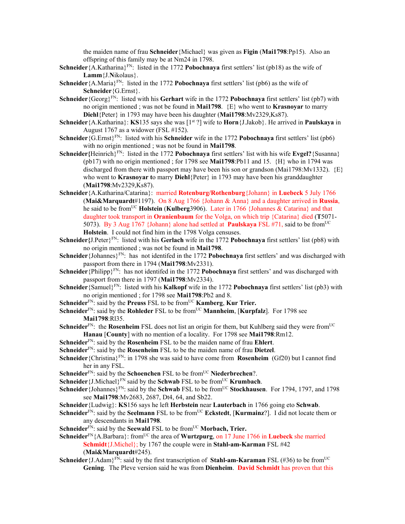the maiden name of frau **Schneider**{Michael} was given as **Figin** (**Mai1798**:Pp15). Also an offspring of this family may be at Nm24 in 1798.

- **Schneider**{A.Katharina}FN: listed in the 1772 **Pobochnaya** first settlers' list (pb18) as the wife of **Lamm**{J.**N**ikolaus}.
- **Schneider**{A.Maria}<sup>FN</sup>: listed in the 1772 **Pobochnaya** first settlers' list (pb6) as the wife of **Schneider**{G.Ernst}.
- **Schneider** {Georg}<sup>FN</sup>: listed with his **Gerhart** wife in the 1772 **Pobochnaya** first settlers' list (pb7) with no origin mentioned ; was not be found in **Mai1798**. {E} who went to **Krasnoyar** to marry **Diehl**{Peter} in 1793 may have been his daughter (**Mai1798**:Mv2329,Ks87).
- **Schneider**{A.Katharina}: **KS**135 says she was [1st ?] wife to **Horn**{J.Jakob}. He arrived in **Paulskaya** in August 1767 as a widower (FSL #152).
- **Schneider**{G.Ernst}FN: listed with his **Schneider** wife in the 1772 **Pobochnaya** first settlers' list (pb6) with no origin mentioned ; was not be found in **Mai1798**.
- **Schneider**{Heinrich}<sup>FN</sup>: listed in the 1772 **Pobochnaya** first settlers' list with his wife **Evgel?**{Susanna} (pb17) with no origin mentioned ; for 1798 see **Mai1798**:Pb11 and 15.  $\{H\}$  who in 1794 was discharged from there with passport may have been his son or grandson (Mai1798:Mv1332).  $\{E\}$ who went to **Krasnoyar t**o marry **Diehl**{Peter} in 1793 may have been his granddaughter (**Mai1798**:Mv2329,Ks87).
- **Schneider**{A.Katharina/Catarina}: married **Rotenburg/Rothenburg**{Johann} in **Luebeck** 5 July 1766 (**Mai&Marquardt**#1197). On 8 Aug 1766 {Johann & Anna} and a daughter arrived in **Russia**, he said to be fromUC **Holstein** (**Kulberg**3906). Later in 1766 {Johannes & Catarina} and that daughter took transport in **Oranienbaum** for the Volga, on which trip {Catarina} died (**T**5071- 5073). By 3 Aug 1767 {Johann} alone had settled at **Paulskaya** FSL #71, said to be fromUC **Holstein**. I could not find him in the 1798 Volga censuses.
- **Schneider{**J.Peter}FN: listed with his **Gerlach** wife in the 1772 **Pobochnaya** first settlers' list (pb8) with no origin mentioned ; was not be found in **Mai1798**.
- **Schneider** {Johannes}<sup>FN</sup>: has not identifed in the 1772 **Pobochnaya** first settlers' and was discharged with passport from there in 1794 (**Mai1798**:Mv2331).
- **Schneider** {Philipp}<sup>FN</sup>: has not identifed in the 1772 **Pobochnaya** first settlers' and was discharged with passport from there in 1797 (**Mai1798**:Mv2334).
- **Schneider** {Samuel}<sup>FN</sup>: listed with his **Kalkopf** wife in the 1772 **Pobochnaya** first settlers' list (pb3) with no origin mentioned ; for 1798 see **Mai1798**:Pb2 and 8.
- **Schneider**<sup>FN</sup>: said by the **Preuss** FSL to be from<sup>UC</sup> **Kamberg**, **Kur Trier.**
- **Schneider**<sup>FN</sup>: said by the **Rohleder** FSL to be from<sup>UC</sup> **Mannheim**. [**Kurpfalz**]. For 1798 see **Mai1798**:Rl35.
- **Schneider**<sup>FN</sup>: the **Rosenheim** FSL does not list an origin for them, but Kuhlberg said they were from<sup>UC</sup> **Hanau** [**County**] with no mention of a locality. For 1798 see **Mai1798**:Rm12.
- **Schneider**FN: said by the **Rosenheim** FSL to be the maiden name of frau **Ehlert**.
- **Schneider**FN: said by the **Rosenheim** FSL to be the maiden name of frau **Dietzel**.
- **Schneider**{Christina}FN: in 1798 she was said to have come from **Rosenheim** (Gf20) but I cannot find her in any FSL.
- **Schneider**<sup>FN</sup>: said by the **Schoenchen** FSL to be from<sup>UC</sup> Niederbrechen?.
- **Schneider**{J.Michael}<sup>FN</sup> said by the **Schwab** FSL to be from<sup>UC</sup> **Krumbach**.
- **Schneider** {Johannes}<sup>FN</sup>: said by the **Schwab** FSL to be from<sup>UC</sup> **Stockhausen**. For 1794, 1797, and 1798 see **Mai1798**:Mv2683, 2687, Dt4, 64, and Sb22.
- **Schneider**{Ludwig}: **KS**156 says he left **Herbstein** near **Lauterbach** in 1766 going eto **Schwab**.
- **Schneider**<sup>FN</sup>: said by the **Seelmann** FSL to be from<sup>UC</sup> **Eckstedt**, [**Kurmainz**?]. I did not locate them or any descendants in **Mai1798**.
- Schneider<sup>FN</sup>: said by the Seewald FSL to be from<sup>UC</sup> Morbach, Trier.
- Schneider<sup>FN</sup>{A.Barbara}: from<sup>UC</sup> the area of **Wurtzpurg**, on 17 June 1766 in **Luebeck** she married **Schmidt**{J.Michel}; by 1767 the couple were in **Stahl-am-Karman** FSL #42 (**Mai&Marquardt**#245).
- **Schneider** {J.Adam}<sup>FN</sup>: said by the first transcription of **Stahl-am-Karaman** FSL (#36) to be from<sup>UC</sup> **Gening**. The Pleve version said he was from **Dienheim**. **David Schmidt** has proven that this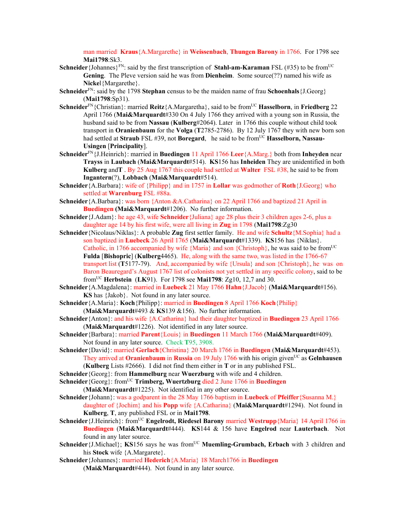man married **Kraus**{A.Margarethe} in **Weissenbach**, **Thungen Barony** in 1766. For 1798 see **Mai1798**:Sk3.

- **Schneider**{Johannes}<sup>FN</sup>: said by the first transcription of **Stahl-am-Karaman** FSL (#35) to be from<sup>UC</sup> **Gening**. The Pleve version said he was from **Dienheim**. Some source(??) named his wife as **Nicke**l{Margarethe}.
- **Schneider**<sup>FN</sup>: said by the 1798 **Stephan** census to be the maiden name of frau **Schoenhals** {J.Georg} (**Mai1798**:Sp31).
- **Schneider**<sup>FN</sup>{Christian}: married **Reitz**{A.Margaretha}, said to be from<sup>UC</sup> **Hasselborn**, in **Friedberg** 22 April 1766 (**Mai&Marquardt**#330 On 4 July 1766 they arrived with a young son in Russia, the husband said to be from **Nassau** (**Kulberg**#2064). Later in 1766 this couple without child took transport in **Oranienbaum** for the **Volga** (**T**2785-2786). By 12 July 1767 they with new born son had settled at **Straub** FSL #39, not **Boregard**, he said to be from<sup>UC</sup> **Hasselborn, Nassau-Usingen** [**Principality**].
- **Schneider**FN{J.Heinrich}: married in **Buedingen** 11 April 1766 **Leer**{A.Marg.} both from **Inheyden** near **Trayss** in **Laubach** (**Mai&Marquardt**#514). **KS**156 has **Inheiden** They are unidentified in both **Kulberg** and**T** . By 25 Aug 1767 this couple had settled at **Walter** FSL #38, he said to be from **Ingantern**(?), **Lobbach** (**Mai&Marquardt**#514).
- **Schneider**{A.Barbara}: wife of {Philipp} and in 1757 in **Lollar** was godmother of **Roth**{J.Georg} who settled at **Warenburg** FSL #88a.
- **Schneider**{A.Barbara}: was born {Anton &A.Catharina} on 22 April 1766 and baptized 21 April in **Buedingen (Mai&Marquardt**#1206).No further information.
- **Schneider**{J.Adam}: he age 43, wife **Schneider**{Juliana} age 28 plus their 3 children ages 2-6, plus a daughter age 14 by his first wife, were all living in **Zug** in 1798 (**Mai1798**:Zg30
- **Schneider**{Nicolaus/Niklas}: A probable **Zug** first settler family. He and wife **Schultz**{M.Sophia} had a son baptized in **Luebeck** 26 April 1765 (**Mai&Marquardt**#1339). **KS**156 has {Niklas}. Catholic, in 1766 accompanied by wife {Maria} and son {Christoph}, he was said to be from<sup>UC</sup> **Fulda** [**Bishopric**] (**Kulberg**4465). He, along with the same two, was listed in the 1766-67 transport list (**T**5177-79). And, accompanied by wife {Ursula} and son {Christoph}, he was on Baron Beauregard's August 1767 list of colonists not yet settled in any specific colony, said to be fromUC **Herbstein** (**LK**91). For 1798 see **Mai1798**: Zg10, 12,7 and 30.
- **Schneider**{A.Magdalena}: married in **Luebeck** 21 May 1766 **Hahn**{J.Jacob} (**Mai&Marquardt**#156). **KS** has {Jakob}. Not found in any later source.
- **Schneider**{A.Maria}: **Koch**{Philipp}: married in **Buedingen** 8 April 1766 **Koch**{Philip} (**Mai&Marquardt**#493 & **KS**139 &156). No further information.
- **Schneider**{Anton}: and his wife {A.Catharina} had their daughter baptized in **Buedingen** 23 April 1766 (**Mai&Marquardt**#1226). Not identified in any later source.
- **Schneider**{Barbara}: married **Parent**{Louis} in **Buedingen** 11 March 1766 (**Mai&Marquardt**#409). Not found in any later source. Check **T**95, 3908.
- **Schneider**{David}: married **Gerlach**{Christina} 20 March 1766 in **Buedingen** (**Mai&Marquardt**#453). They arrived at **Oranienbaum** in **Russia** on 19 July 1766 with his origin given<sup>UC</sup> as **Gelnhausen** (**Kulberg** Lists #2666). I did not find them either in **T** or in any published FSL.
- **Schneider**{Georg}: from **Hammelburg** near **Wuerzburg** with wife and 4 children.
- **Schneider**{Georg}: from<sup>UC</sup> **Trimberg, Wuertzburg** died 2 June 1766 in **Buedingen** (**Mai&Marquardt**#1225). Not identified in any other source.
- **Schneider**{Johann}: was a godparent in the 28 May 1766 baptism in **Luebeck** of **Pfeiffer**{Susanna M.} daughter of {Jochim} and his **Popp** wife {A.Catharina} (**Mai&Marquardt**#1294). Not found in **Kulberg**, **T**, any published FSL or in **Mai1798**.
- **Schneider** {J.Heinrich}: from<sup>UC</sup> **Engelrodt, Riedesel Barony** married **Westrupp** {Maria} 14 April 1766 in **Buedingen** (**Mai&Marquardt**#444). **KS**144 & 156 have **Engelrod** near **Lauterbach**. Not found in any later source.
- **Schneider** {J.Michael}; **KS**156 says he was from<sup>UC</sup> **Muemling-Grumbach, Erbach** with 3 children and his **Stock** wife {A.Margarete}.
- **Schneider**{Johannes}: married **Hederich**{A.Maria} 18 March1766 in **Buedingen** (**Mai&Marquardt**#444). Not found in any later source.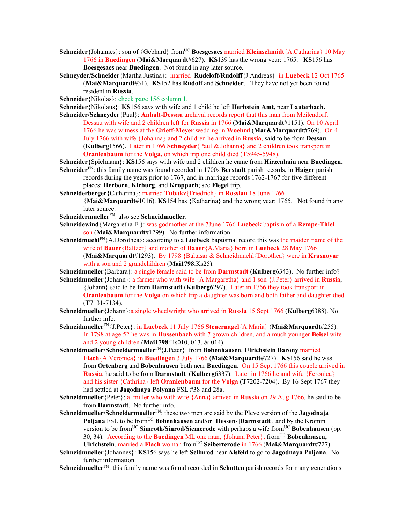- **Schneider**{Johannes}: son of {Gebhard} from<sup>UC</sup> **Boesgesaes** married **Kleinschmidt**{A.Catharina} 10 May 1766 in **Buedingen** (**Mai&Marquardt**#627). **KS**139 has the wrong year: 1765. **KS**156 has **Boesgesaes** near **Buedingen**. Not found in any later source.
- **Schneyder/Schneider**{Martha Justina}: married **Rudeloff/Rudolff**{J.Andreas} in **Luebeck** 12 Oct 1765 (**Mai&Marquardt**#31). **KS**152 has **Rudolf** and **Schneider**. They have not yet been found resident in **Russia**.

**Schneider**{Nikolas}: check page 156 column 1.

**Schneider**{Nikolaus}: **KS**156 says with wife and 1 child he left **Herbstein Amt,** near **Lauterbach.**

- **Schneider/Schneyder**{Paul}: **Anhalt-Dessau** archival records report that this man from Meilendorf, Dessau with wife and 2 children left for **Russia** in 1766 (**Mai&Marquardt**#1151). On 10 April 1766 he was witness at the **Grieff-Meyer** wedding in **Woehrd** (**Mar&Marquardt#**769). On 4 July 1766 with wife {Johanna} and 2 children he arrived in **Russia**, said to be from **Dessau** (**Kulberg**1566). Later in 1766 **Schneyder**{Paul & Johanna} and 2 children took transport in **Oranienbaum** for the **Volga,** on which trip one child died (**T**5945-5948).
- **Schneider**{Spielmann}: **KS**156 says with wife and 2 children he came from **Hirzenhain** near **Buedingen**. **Schneider**FN: this family name was found recorded in 1700s **Berstadt** parish records, in **Haiger** parish
	- records during the years prior to 1767, and in marriage records 1762-1767 for five different places: **Herborn**, **Kirburg**, and **Kroppach**; see **Flegel** trip.
- **Schneiderberger**{Catharina}: married **Tubakz**{Friedrich} in **Rosslau** 18 June 1766 {**Mai&Marquardt**#1016). **KS**154 has {Katharina} and the wrong year: 1765. Not found in any later source.
- **Schneidermueller**FN: also see **Schneidmueller**.
- **Schneidewind**{Margaretha E.}: was godmother at the 7June 1766 **Luebeck** baptism of a **Rempe-Thiel**  son (**Mai&Marquardt**#1299). No further information.
- **Schneidmuehl**FN{A.Dorothea}: according to a **Luebeck** baptismal record this was the maiden name of the wife of **Bauer**{Baltzer} and mother of **Bauer**{A.Maria} born in **Luebeck** 28 May 1766

(**Mai&Marquardt**#1293). By 1798 {Baltasar & Schneidmuehl{Dorothea} were in **Krasnoyar** with a son and 2 grandchildren (**Mai1798**:Ks25).

**Schneidmueller**{Barbara}: a single female said to be from **Darmstadt** (**Kulberg**6343). No further info? **Schneidmueller**{Johann}: a farmer who with wife {A.Margaretha} and 1 son {J.Peter} arrived in **Russia**,

{Johann} said to be from **Darmstadt** (**Kulberg**6297). Later in 1766 they took transport in **Oranienbaum** for the **Volga** on which trip a daughter was born and both father and daughter died (**T**7131-7134).

- **Schneidmueller**{Johann}:a single wheelwright who arrived in **Russia** 15 Sept 1766 (**Kulberg**6388). No further info.
- **Schneidmueller**FN{J.Peter}: in **Luebeck** 11 July 1766 **Steuernagel**{A.Maria} (**Mai&Marquardt**#255). In 1798 at age 52 he was in **Hussenbach** with 7 grown children, and a much younger **Beisel** wife and 2 young children (**Mai1798**:Hs010, 013, & 014).
- **Schneidmueller/Schneidermueller**FN{J.Peter}: from **Bobenhausen**, **Ulrichstein Barony** married **Flach**{A.Veronica} in **Buedingen** 3 July 1766 (**Mai&Marquardt**#727). **KS**156 said he was from **Ortenberg** and **Bobenhausen** both near **Buedingen**. On 15 Sept 1766 this couple arrived in **Russia**, he said to be from **Darmstadt** (**Kulberg**6337). Later in 1766 he and wife {Feronica} and his sister {Cathrina} left **Oranienbaum** for the **Volga** (**T**7202-7204). By 16 Sept 1767 they had settled at **Jagodnaya Polyana** FSL #38 and 28a.
- **Schneidmueller**{Peter}: a miller who with wife {Anna} arrived in **Russia** on 29 Aug 1766, he said to be from **Darmstadt**. No further info.
- **Schneidmueller/Schneidermueller**FN: these two men are said by the Pleve version of the **Jagodnaja Poljana** FSL to be from<sup>UC</sup> **Bobenhausen** and/or [**Hessen-**]Darmstadt, and by the Kromm version to be from<sup>UC</sup> **Simroth/Sinrod/Siemerode** with perhaps a wife from<sup>UC</sup> **Bobenhausen** (pp. 30, 34). According to the **Buedingen** ML one man, {Johann Peter}, fromUC **Bobenhausen, Ulrichstein**, married a **Flach** woman fromUC **Seiberterode** in 1766 (**Mai&Marquardt**#727).
- **Schneidmueller**{Johannes}: **KS**156 says he left **Sellnrod** near **Alsfeld** to go to **Jagodnaya Poljana**. No further information.

**Schneidmueller**FN: this family name was found recorded in **Schotten** parish records for many generations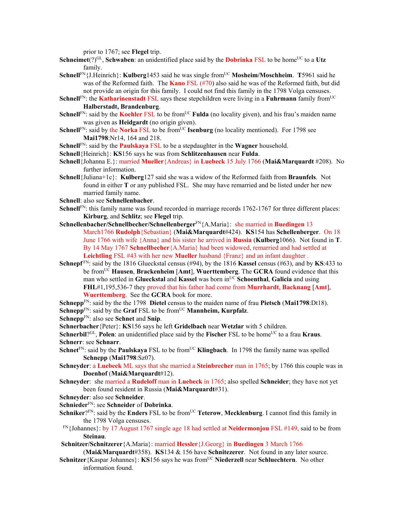prior to 1767; see **Flegel** trip.

- **Schneimet**(?)<sup>GL</sup>, **Schwaben**: an unidentified place said by the **Dobrinka** FSL to be home<sup>UC</sup> to a Utz family.
- **Schnell**FN{J.Heinrich}: **Kulberg**1453 said he was single fromUC **Mosheim/Moschheim**. **T**5961 said he was of the Reformed faith. The **Kano** FSL (#70) also said he was of the Reformed faith, but did not provide an origin for this family. I could not find this family in the 1798 Volga censuses.
- **Schnell**<sup>FN</sup>: the **Katharinenstadt** FSL says these stepchildren were living in a **Fuhrmann** family from<sup>UC</sup> **Halberstadt, Brandenburg**.
- **Schnell**<sup>FN</sup>: said by the **Koehler** FSL to be from<sup>UC</sup> **Fulda** (no locality given), and his frau's maiden name was given as **Heidgardt** (no origin given).
- **Schnell**<sup>FN</sup>: said by the **Norka** FSL to be from<sup>UC</sup> **Isenburg** (no locality mentioned). For 1798 see **Mai1798**:Nr14, 164 and 218.
- **Schnell**FN: said by the **Paulskaya** FSL to be a stepdaughter in the **Wagner** household.
- **Schnell**{Heinrich}: **KS**156 says he was from **Schlitzenhausen** near **Fulda**.
- **Schnell**{Johanna E.}: married **Mueller**{Andreas} in **Luebeck** 15 July 1766 (**Mai&Marquardt** #208). No further information.
- **Schnell**{Juliana+1c}: **Kulberg**127 said she was a widow of the Reformed faith from **Braunfels**. Not found in either **T** or any published FSL. She may have remarried and be listed under her new married family name.
- **Schnell**: also see **Schnellenbacher**.
- **Schnell**<sup>FN</sup>: this family name was found recorded in marriage records 1762-1767 for three different places: **Kirburg**, and **Schlitz**; see **Flegel** trip.
- **Schnellenbacher/Schnellbecher/Schnellenberger**FN{A.Maria}: she married in **Buedingen** 13 March1766 **Rudolph**{Sebastian} (**Mai&Marquardt**#424). **KS**154 has **Schellenberger**. On 18 June 1766 with wife {Anna} and his sister he arrived in **Russia** (**Kulberg**1066). Not found in **T**. By 14 May 1767 **Schnellbecher**{A.Maria} had been widowed, remarried and had settled at **Leichtling** FSL #43 with her new **Mueller** husband {Franz} and an infant daughter .
- **Schnepf** FN: said by the 1816 Glueckstal census (#94), by the 1816 **Kassel** census (#63), and by **KS**:433 to be fromUC **Hausen**, **Brackenheim** [**Amt**], **Wuerttemberg**. The **GCRA** found evidence that this man who settled in **Glueckstal** and **Kassel** was born in<sup>UC</sup> **Schoenthal**, **Galicia** and using **FHL**#1,195,536-7 they proved that his father had come from **Murrhardt**, **Backnang** [**Amt**], **Wuerttemberg**. See the **GCRA** book for more.
- **Schnepp**FN: said by the the 1798 **Dietel** census to the maiden name of frau **Pietsch** (**Mai1798**:Dt18).
- **Schnepp**<sup>FN</sup>: said by the **Graf** FSL to be from<sup>UC</sup> **Mannheim, Kurpfalz**.
- **Schnepp**FN: also see **Schnet** and **Snip**.
- **Schnerbacher**{Peter}: **KS**156 says he left **Gridelbach** near **Wetzlar** with 5 children.
- **Schnerbil**?<sup>GL</sup>, **Polen**: an unidentified place said by the **Fischer** FSL to be home<sup>UC</sup> to a frau **Kraus**. **Schnerr**: see **Schnarr**.
- **Schnet**<sup>FN</sup>: said by the **Paulskaya** FSL to be from<sup>UC</sup> **Klingbach**. In 1798 the family name was spelled **Schnepp** (**Mai1798**:Sz07).
- **Schneyder**: a **Luebeck** ML says that she married a **Steinbrecher** man in 1765; by 1766 this couple was in **Doenhof** (**Mai&Marquardt**#12).
- **Schneyder**: she married a **Rudeloff** man in **Luebeck** in 1765; also spelled **Schneider**; they have not yet been found resident in Russia (**Mai&Marquardt**#31).
- **Schneyder**: also see **Schneider**.
- **Schnieder**FN: see **Schneider** of **Dobrinka**.
- **Schniker**?FN: said by the **Enders** FSL to be from<sup>UC</sup> **Teterow, Mecklenburg**. I cannot find this family in the 1798 Volga censuses.
- FN{Johannes}: by 17 August 1767 single age 18 had settled at **Neidermonjou** FSL #149, said to be from **Steinau**.
- **Schnitzer/Schnitzerer**{A.Maria}: married **Hessler**{J.Georg} in **Buedingen** 3 March 1766

(**Mai&Marquardt**#358). **KS**134 & 156 have **Schnitezerer**. Not found in any later source.

**Schnitzer** {Kaspar Johannes}: **KS**156 says he was from<sup>UC</sup> **Niederzell** near **Schluechtern**. No other information found.